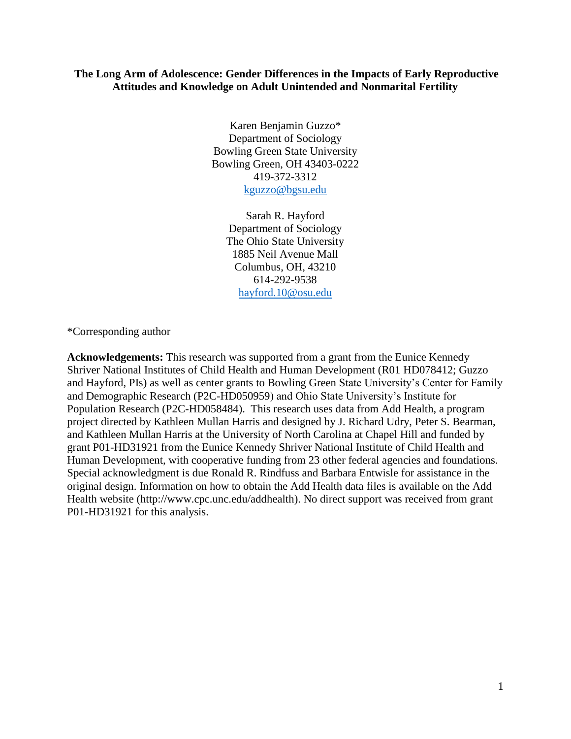## **The Long Arm of Adolescence: Gender Differences in the Impacts of Early Reproductive Attitudes and Knowledge on Adult Unintended and Nonmarital Fertility**

Karen Benjamin Guzzo\* Department of Sociology Bowling Green State University Bowling Green, OH 43403-0222 419-372-3312 [kguzzo@bgsu.edu](mailto:kguzzo@bgsu.edu)

> Sarah R. Hayford Department of Sociology The Ohio State University 1885 Neil Avenue Mall Columbus, OH, 43210 614-292-9538 [hayford.10@osu.edu](mailto:hayford.10@osu.edu)

\*Corresponding author

**Acknowledgements:** This research was supported from a grant from the Eunice Kennedy Shriver National Institutes of Child Health and Human Development (R01 HD078412; Guzzo and Hayford, PIs) as well as center grants to Bowling Green State University's Center for Family and Demographic Research (P2C-HD050959) and Ohio State University's Institute for Population Research (P2C-HD058484). This research uses data from Add Health, a program project directed by Kathleen Mullan Harris and designed by J. Richard Udry, Peter S. Bearman, and Kathleen Mullan Harris at the University of North Carolina at Chapel Hill and funded by grant P01-HD31921 from the Eunice Kennedy Shriver National Institute of Child Health and Human Development, with cooperative funding from 23 other federal agencies and foundations. Special acknowledgment is due Ronald R. Rindfuss and Barbara Entwisle for assistance in the original design. Information on how to obtain the Add Health data files is available on the Add Health website (http://www.cpc.unc.edu/addhealth). No direct support was received from grant P01-HD31921 for this analysis.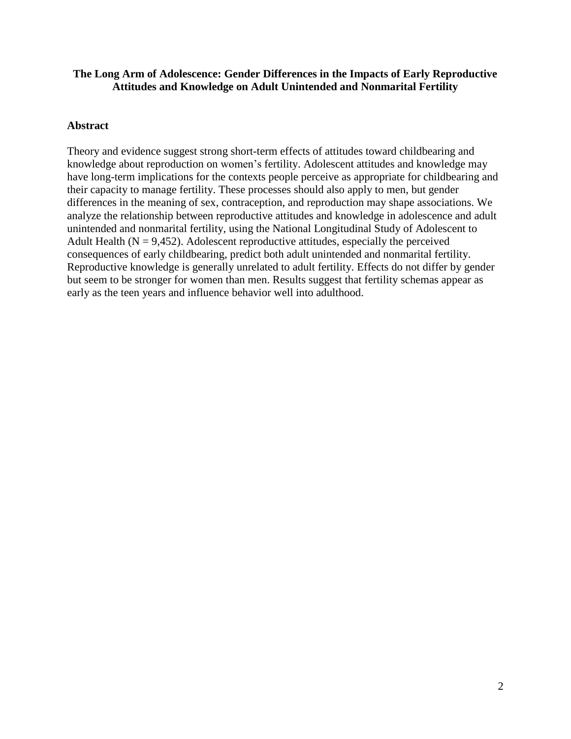# **The Long Arm of Adolescence: Gender Differences in the Impacts of Early Reproductive Attitudes and Knowledge on Adult Unintended and Nonmarital Fertility**

# **Abstract**

Theory and evidence suggest strong short-term effects of attitudes toward childbearing and knowledge about reproduction on women's fertility. Adolescent attitudes and knowledge may have long-term implications for the contexts people perceive as appropriate for childbearing and their capacity to manage fertility. These processes should also apply to men, but gender differences in the meaning of sex, contraception, and reproduction may shape associations. We analyze the relationship between reproductive attitudes and knowledge in adolescence and adult unintended and nonmarital fertility, using the National Longitudinal Study of Adolescent to Adult Health ( $N = 9,452$ ). Adolescent reproductive attitudes, especially the perceived consequences of early childbearing, predict both adult unintended and nonmarital fertility. Reproductive knowledge is generally unrelated to adult fertility. Effects do not differ by gender but seem to be stronger for women than men. Results suggest that fertility schemas appear as early as the teen years and influence behavior well into adulthood.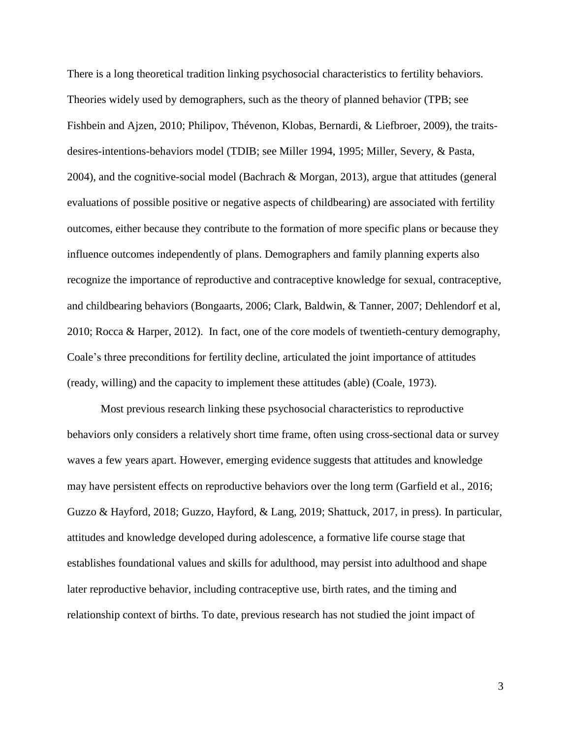There is a long theoretical tradition linking psychosocial characteristics to fertility behaviors. Theories widely used by demographers, such as the theory of planned behavior (TPB; see Fishbein and Ajzen, 2010; Philipov, Thévenon, Klobas, Bernardi, & Liefbroer, 2009), the traitsdesires-intentions-behaviors model (TDIB; see Miller 1994, 1995; Miller, Severy, & Pasta, 2004), and the cognitive-social model (Bachrach & Morgan, 2013), argue that attitudes (general evaluations of possible positive or negative aspects of childbearing) are associated with fertility outcomes, either because they contribute to the formation of more specific plans or because they influence outcomes independently of plans. Demographers and family planning experts also recognize the importance of reproductive and contraceptive knowledge for sexual, contraceptive, and childbearing behaviors (Bongaarts, 2006; Clark, Baldwin, & Tanner, 2007; Dehlendorf et al, 2010; Rocca & Harper, 2012). In fact, one of the core models of twentieth-century demography, Coale's three preconditions for fertility decline, articulated the joint importance of attitudes (ready, willing) and the capacity to implement these attitudes (able) (Coale, 1973).

Most previous research linking these psychosocial characteristics to reproductive behaviors only considers a relatively short time frame, often using cross-sectional data or survey waves a few years apart. However, emerging evidence suggests that attitudes and knowledge may have persistent effects on reproductive behaviors over the long term (Garfield et al., 2016; Guzzo & Hayford, 2018; Guzzo, Hayford, & Lang, 2019; Shattuck, 2017, in press). In particular, attitudes and knowledge developed during adolescence, a formative life course stage that establishes foundational values and skills for adulthood, may persist into adulthood and shape later reproductive behavior, including contraceptive use, birth rates, and the timing and relationship context of births. To date, previous research has not studied the joint impact of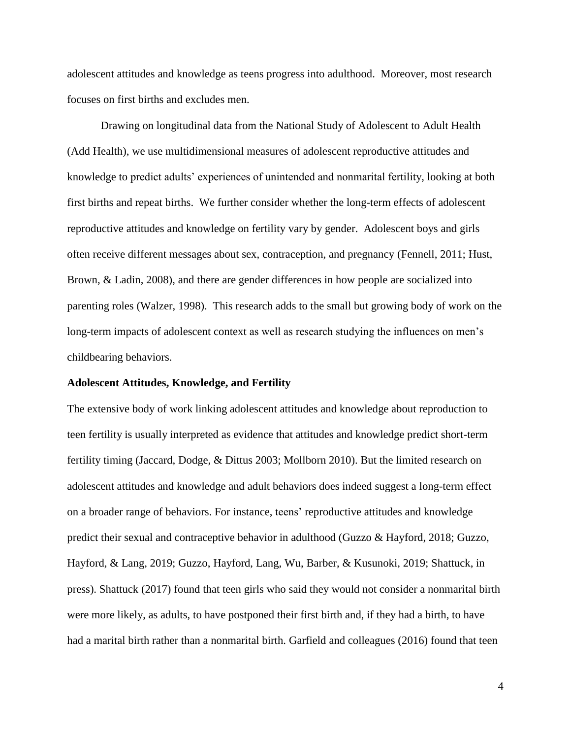adolescent attitudes and knowledge as teens progress into adulthood. Moreover, most research focuses on first births and excludes men.

Drawing on longitudinal data from the National Study of Adolescent to Adult Health (Add Health), we use multidimensional measures of adolescent reproductive attitudes and knowledge to predict adults' experiences of unintended and nonmarital fertility, looking at both first births and repeat births. We further consider whether the long-term effects of adolescent reproductive attitudes and knowledge on fertility vary by gender. Adolescent boys and girls often receive different messages about sex, contraception, and pregnancy (Fennell, 2011; Hust, Brown, & Ladin, 2008), and there are gender differences in how people are socialized into parenting roles (Walzer, 1998). This research adds to the small but growing body of work on the long-term impacts of adolescent context as well as research studying the influences on men's childbearing behaviors.

### **Adolescent Attitudes, Knowledge, and Fertility**

The extensive body of work linking adolescent attitudes and knowledge about reproduction to teen fertility is usually interpreted as evidence that attitudes and knowledge predict short-term fertility timing (Jaccard, Dodge, & Dittus 2003; Mollborn 2010). But the limited research on adolescent attitudes and knowledge and adult behaviors does indeed suggest a long-term effect on a broader range of behaviors. For instance, teens' reproductive attitudes and knowledge predict their sexual and contraceptive behavior in adulthood (Guzzo & Hayford, 2018; Guzzo, Hayford, & Lang, 2019; Guzzo, Hayford, Lang, Wu, Barber, & Kusunoki, 2019; Shattuck, in press). Shattuck (2017) found that teen girls who said they would not consider a nonmarital birth were more likely, as adults, to have postponed their first birth and, if they had a birth, to have had a marital birth rather than a nonmarital birth. Garfield and colleagues (2016) found that teen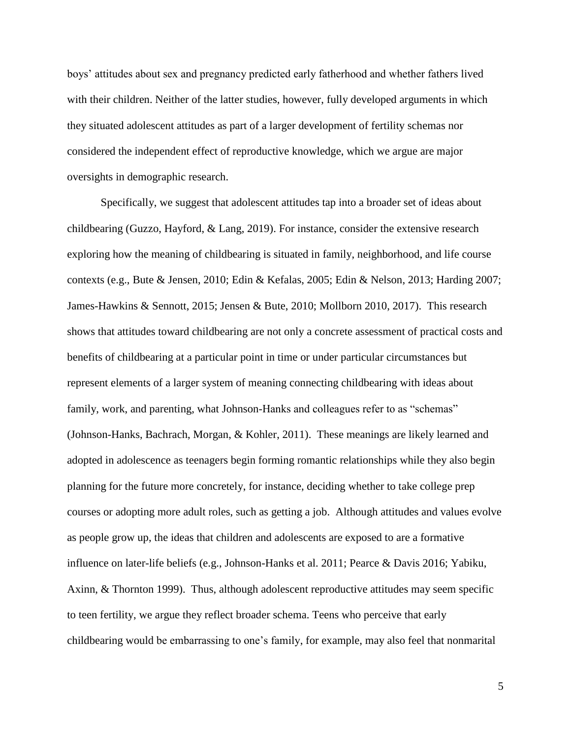boys' attitudes about sex and pregnancy predicted early fatherhood and whether fathers lived with their children. Neither of the latter studies, however, fully developed arguments in which they situated adolescent attitudes as part of a larger development of fertility schemas nor considered the independent effect of reproductive knowledge, which we argue are major oversights in demographic research.

Specifically, we suggest that adolescent attitudes tap into a broader set of ideas about childbearing (Guzzo, Hayford, & Lang, 2019). For instance, consider the extensive research exploring how the meaning of childbearing is situated in family, neighborhood, and life course contexts (e.g., Bute & Jensen, 2010; Edin & Kefalas, 2005; Edin & Nelson, 2013; Harding 2007; James-Hawkins & Sennott, 2015; Jensen & Bute, 2010; Mollborn 2010, 2017). This research shows that attitudes toward childbearing are not only a concrete assessment of practical costs and benefits of childbearing at a particular point in time or under particular circumstances but represent elements of a larger system of meaning connecting childbearing with ideas about family, work, and parenting, what Johnson-Hanks and colleagues refer to as "schemas" (Johnson-Hanks, Bachrach, Morgan, & Kohler, 2011). These meanings are likely learned and adopted in adolescence as teenagers begin forming romantic relationships while they also begin planning for the future more concretely, for instance, deciding whether to take college prep courses or adopting more adult roles, such as getting a job. Although attitudes and values evolve as people grow up, the ideas that children and adolescents are exposed to are a formative influence on later-life beliefs (e.g., Johnson-Hanks et al. 2011; Pearce & Davis 2016; Yabiku, Axinn, & Thornton 1999). Thus, although adolescent reproductive attitudes may seem specific to teen fertility, we argue they reflect broader schema. Teens who perceive that early childbearing would be embarrassing to one's family, for example, may also feel that nonmarital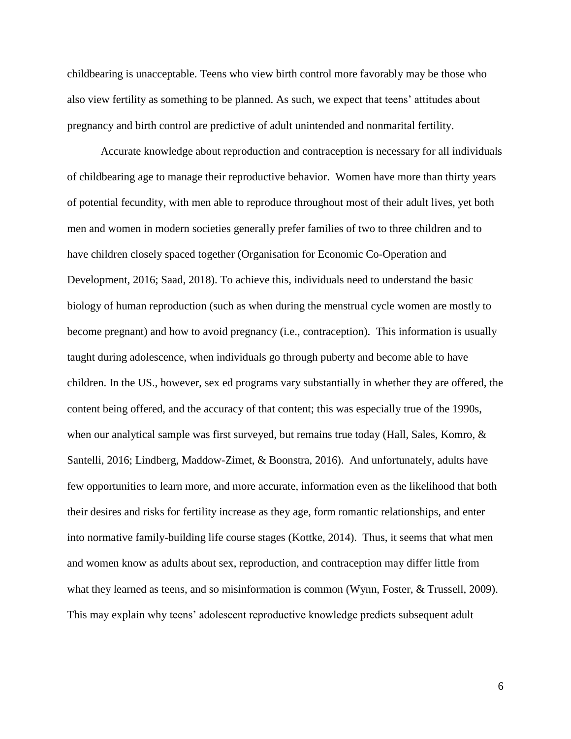childbearing is unacceptable. Teens who view birth control more favorably may be those who also view fertility as something to be planned. As such, we expect that teens' attitudes about pregnancy and birth control are predictive of adult unintended and nonmarital fertility.

Accurate knowledge about reproduction and contraception is necessary for all individuals of childbearing age to manage their reproductive behavior. Women have more than thirty years of potential fecundity, with men able to reproduce throughout most of their adult lives, yet both men and women in modern societies generally prefer families of two to three children and to have children closely spaced together (Organisation for Economic Co-Operation and Development, 2016; Saad, 2018). To achieve this, individuals need to understand the basic biology of human reproduction (such as when during the menstrual cycle women are mostly to become pregnant) and how to avoid pregnancy (i.e., contraception). This information is usually taught during adolescence, when individuals go through puberty and become able to have children. In the US., however, sex ed programs vary substantially in whether they are offered, the content being offered, and the accuracy of that content; this was especially true of the 1990s, when our analytical sample was first surveyed, but remains true today (Hall, Sales, Komro, & Santelli, 2016; Lindberg, Maddow-Zimet, & Boonstra, 2016). And unfortunately, adults have few opportunities to learn more, and more accurate, information even as the likelihood that both their desires and risks for fertility increase as they age, form romantic relationships, and enter into normative family-building life course stages (Kottke, 2014). Thus, it seems that what men and women know as adults about sex, reproduction, and contraception may differ little from what they learned as teens, and so misinformation is common (Wynn, Foster, & Trussell, 2009). This may explain why teens' adolescent reproductive knowledge predicts subsequent adult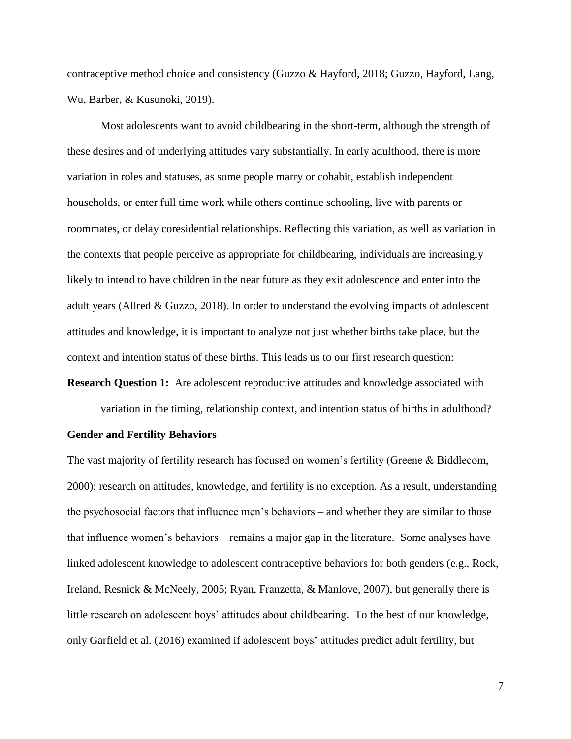contraceptive method choice and consistency (Guzzo & Hayford, 2018; Guzzo, Hayford, Lang, Wu, Barber, & Kusunoki, 2019).

Most adolescents want to avoid childbearing in the short-term, although the strength of these desires and of underlying attitudes vary substantially. In early adulthood, there is more variation in roles and statuses, as some people marry or cohabit, establish independent households, or enter full time work while others continue schooling, live with parents or roommates, or delay coresidential relationships. Reflecting this variation, as well as variation in the contexts that people perceive as appropriate for childbearing, individuals are increasingly likely to intend to have children in the near future as they exit adolescence and enter into the adult years (Allred & Guzzo, 2018). In order to understand the evolving impacts of adolescent attitudes and knowledge, it is important to analyze not just whether births take place, but the context and intention status of these births. This leads us to our first research question:

**Research Question 1:** Are adolescent reproductive attitudes and knowledge associated with

variation in the timing, relationship context, and intention status of births in adulthood?

#### **Gender and Fertility Behaviors**

The vast majority of fertility research has focused on women's fertility (Greene & Biddlecom, 2000); research on attitudes, knowledge, and fertility is no exception. As a result, understanding the psychosocial factors that influence men's behaviors – and whether they are similar to those that influence women's behaviors – remains a major gap in the literature. Some analyses have linked adolescent knowledge to adolescent contraceptive behaviors for both genders (e.g., Rock, Ireland, Resnick & McNeely, 2005; Ryan, Franzetta, & Manlove, 2007), but generally there is little research on adolescent boys' attitudes about childbearing. To the best of our knowledge, only Garfield et al. (2016) examined if adolescent boys' attitudes predict adult fertility, but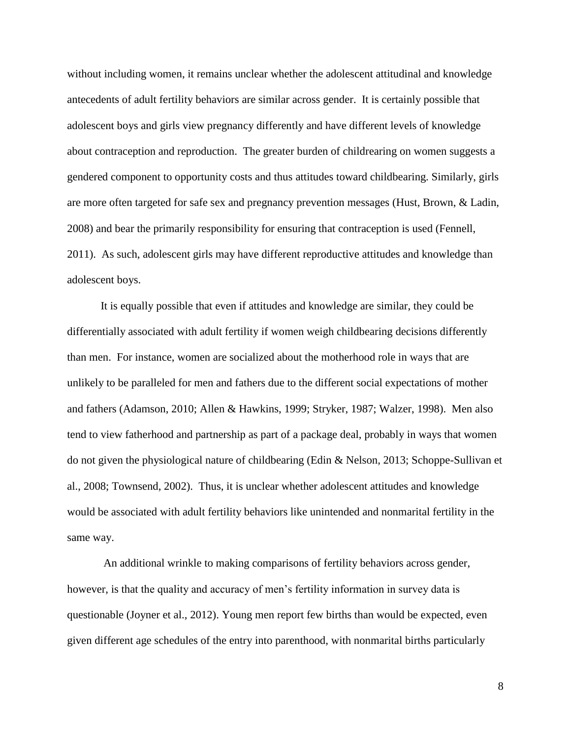without including women, it remains unclear whether the adolescent attitudinal and knowledge antecedents of adult fertility behaviors are similar across gender. It is certainly possible that adolescent boys and girls view pregnancy differently and have different levels of knowledge about contraception and reproduction. The greater burden of childrearing on women suggests a gendered component to opportunity costs and thus attitudes toward childbearing. Similarly, girls are more often targeted for safe sex and pregnancy prevention messages (Hust, Brown, & Ladin, 2008) and bear the primarily responsibility for ensuring that contraception is used (Fennell, 2011). As such, adolescent girls may have different reproductive attitudes and knowledge than adolescent boys.

It is equally possible that even if attitudes and knowledge are similar, they could be differentially associated with adult fertility if women weigh childbearing decisions differently than men. For instance, women are socialized about the motherhood role in ways that are unlikely to be paralleled for men and fathers due to the different social expectations of mother and fathers (Adamson, 2010; Allen & Hawkins, 1999; Stryker, 1987; Walzer, 1998). Men also tend to view fatherhood and partnership as part of a package deal, probably in ways that women do not given the physiological nature of childbearing (Edin & Nelson, 2013; Schoppe-Sullivan et al., 2008; Townsend, 2002). Thus, it is unclear whether adolescent attitudes and knowledge would be associated with adult fertility behaviors like unintended and nonmarital fertility in the same way.

An additional wrinkle to making comparisons of fertility behaviors across gender, however, is that the quality and accuracy of men's fertility information in survey data is questionable (Joyner et al., 2012). Young men report few births than would be expected, even given different age schedules of the entry into parenthood, with nonmarital births particularly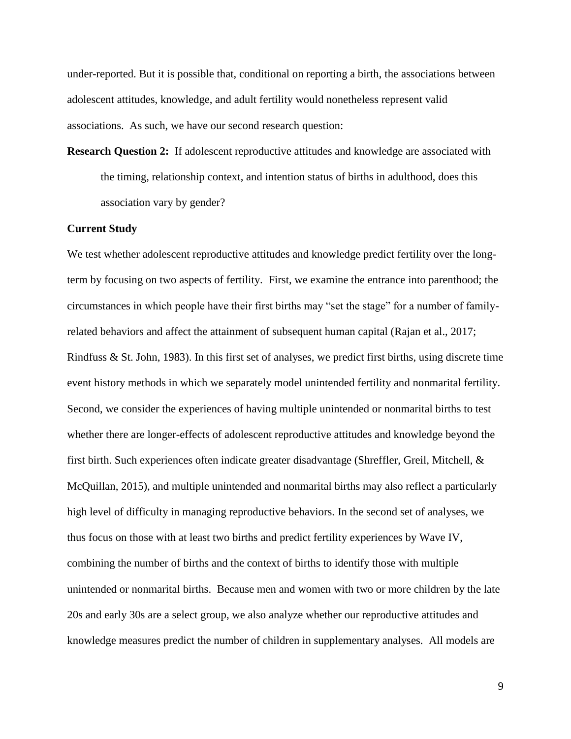under-reported. But it is possible that, conditional on reporting a birth, the associations between adolescent attitudes, knowledge, and adult fertility would nonetheless represent valid associations. As such, we have our second research question:

**Research Question 2:** If adolescent reproductive attitudes and knowledge are associated with the timing, relationship context, and intention status of births in adulthood, does this association vary by gender?

## **Current Study**

We test whether adolescent reproductive attitudes and knowledge predict fertility over the longterm by focusing on two aspects of fertility. First, we examine the entrance into parenthood; the circumstances in which people have their first births may "set the stage" for a number of familyrelated behaviors and affect the attainment of subsequent human capital (Rajan et al., 2017; Rindfuss & St. John, 1983). In this first set of analyses, we predict first births, using discrete time event history methods in which we separately model unintended fertility and nonmarital fertility. Second, we consider the experiences of having multiple unintended or nonmarital births to test whether there are longer-effects of adolescent reproductive attitudes and knowledge beyond the first birth. Such experiences often indicate greater disadvantage (Shreffler, Greil, Mitchell, & McQuillan, 2015), and multiple unintended and nonmarital births may also reflect a particularly high level of difficulty in managing reproductive behaviors. In the second set of analyses, we thus focus on those with at least two births and predict fertility experiences by Wave IV, combining the number of births and the context of births to identify those with multiple unintended or nonmarital births. Because men and women with two or more children by the late 20s and early 30s are a select group, we also analyze whether our reproductive attitudes and knowledge measures predict the number of children in supplementary analyses. All models are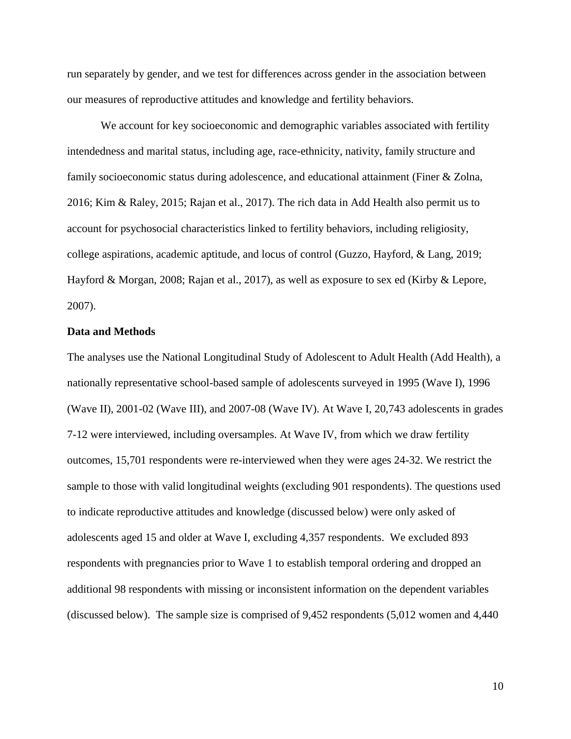run separately by gender, and we test for differences across gender in the association between our measures of reproductive attitudes and knowledge and fertility behaviors.

We account for key socioeconomic and demographic variables associated with fertility intendedness and marital status, including age, race-ethnicity, nativity, family structure and family socioeconomic status during adolescence, and educational attainment (Finer & Zolna, 2016; Kim & Raley, 2015; Rajan et al., 2017). The rich data in Add Health also permit us to account for psychosocial characteristics linked to fertility behaviors, including religiosity, college aspirations, academic aptitude, and locus of control (Guzzo, Hayford, & Lang, 2019; Hayford & Morgan, 2008; Rajan et al., 2017), as well as exposure to sex ed (Kirby & Lepore, 2007).

#### **Data and Methods**

The analyses use the National Longitudinal Study of Adolescent to Adult Health (Add Health), a nationally representative school-based sample of adolescents surveyed in 1995 (Wave I), 1996 (Wave II), 2001-02 (Wave III), and 2007-08 (Wave IV). At Wave I, 20,743 adolescents in grades 7-12 were interviewed, including oversamples. At Wave IV, from which we draw fertility outcomes, 15,701 respondents were re-interviewed when they were ages 24-32. We restrict the sample to those with valid longitudinal weights (excluding 901 respondents). The questions used to indicate reproductive attitudes and knowledge (discussed below) were only asked of adolescents aged 15 and older at Wave I, excluding 4,357 respondents. We excluded 893 respondents with pregnancies prior to Wave 1 to establish temporal ordering and dropped an additional 98 respondents with missing or inconsistent information on the dependent variables (discussed below). The sample size is comprised of 9,452 respondents (5,012 women and 4,440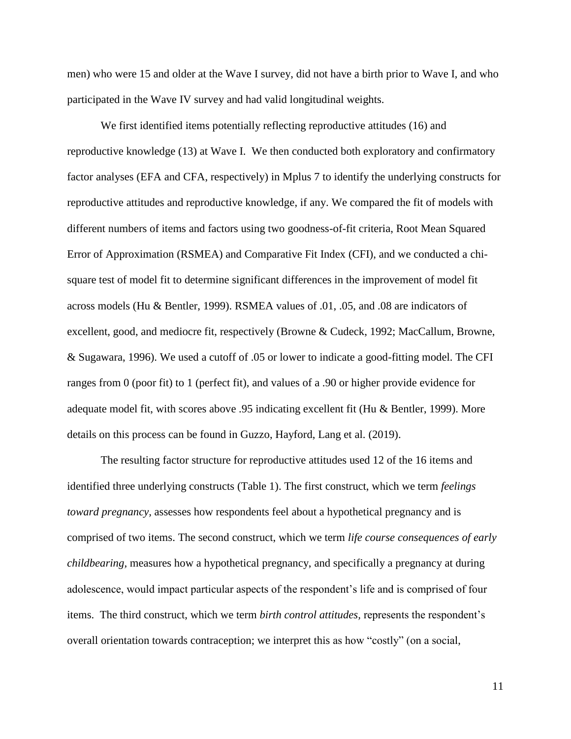men) who were 15 and older at the Wave I survey, did not have a birth prior to Wave I, and who participated in the Wave IV survey and had valid longitudinal weights.

We first identified items potentially reflecting reproductive attitudes (16) and reproductive knowledge (13) at Wave I. We then conducted both exploratory and confirmatory factor analyses (EFA and CFA, respectively) in Mplus 7 to identify the underlying constructs for reproductive attitudes and reproductive knowledge, if any. We compared the fit of models with different numbers of items and factors using two goodness-of-fit criteria, Root Mean Squared Error of Approximation (RSMEA) and Comparative Fit Index (CFI), and we conducted a chisquare test of model fit to determine significant differences in the improvement of model fit across models (Hu & Bentler, 1999). RSMEA values of .01, .05, and .08 are indicators of excellent, good, and mediocre fit, respectively (Browne & Cudeck, 1992; MacCallum, Browne, & Sugawara, 1996). We used a cutoff of .05 or lower to indicate a good-fitting model. The CFI ranges from 0 (poor fit) to 1 (perfect fit), and values of a .90 or higher provide evidence for adequate model fit, with scores above .95 indicating excellent fit (Hu & Bentler, 1999). More details on this process can be found in Guzzo, Hayford, Lang et al. (2019).

The resulting factor structure for reproductive attitudes used 12 of the 16 items and identified three underlying constructs (Table 1). The first construct, which we term *feelings toward pregnancy*, assesses how respondents feel about a hypothetical pregnancy and is comprised of two items. The second construct, which we term *life course consequences of early childbearing,* measures how a hypothetical pregnancy, and specifically a pregnancy at during adolescence, would impact particular aspects of the respondent's life and is comprised of four items. The third construct, which we term *birth control attitudes,* represents the respondent's overall orientation towards contraception; we interpret this as how "costly" (on a social,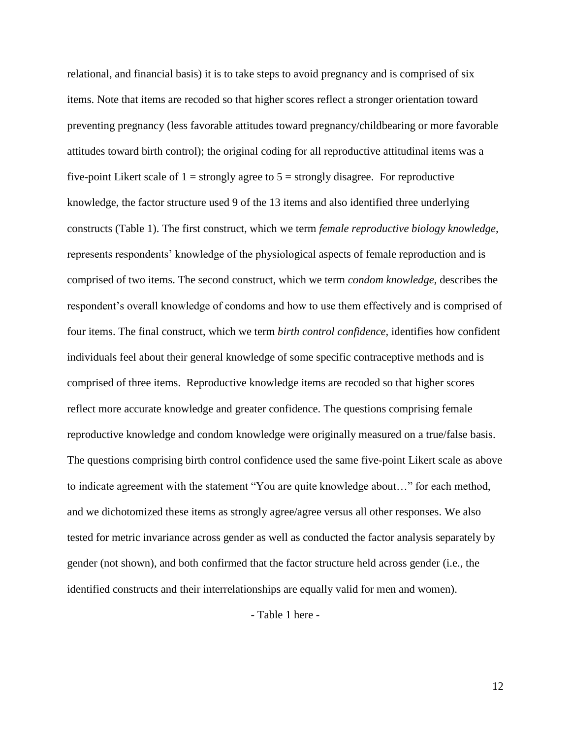relational, and financial basis) it is to take steps to avoid pregnancy and is comprised of six items. Note that items are recoded so that higher scores reflect a stronger orientation toward preventing pregnancy (less favorable attitudes toward pregnancy/childbearing or more favorable attitudes toward birth control); the original coding for all reproductive attitudinal items was a five-point Likert scale of  $1 =$  strongly agree to  $5 =$  strongly disagree. For reproductive knowledge, the factor structure used 9 of the 13 items and also identified three underlying constructs (Table 1). The first construct, which we term *female reproductive biology knowledge,*  represents respondents' knowledge of the physiological aspects of female reproduction and is comprised of two items. The second construct, which we term *condom knowledge,* describes the respondent's overall knowledge of condoms and how to use them effectively and is comprised of four items. The final construct, which we term *birth control confidence,* identifies how confident individuals feel about their general knowledge of some specific contraceptive methods and is comprised of three items. Reproductive knowledge items are recoded so that higher scores reflect more accurate knowledge and greater confidence. The questions comprising female reproductive knowledge and condom knowledge were originally measured on a true/false basis. The questions comprising birth control confidence used the same five-point Likert scale as above to indicate agreement with the statement "You are quite knowledge about…" for each method, and we dichotomized these items as strongly agree/agree versus all other responses. We also tested for metric invariance across gender as well as conducted the factor analysis separately by gender (not shown), and both confirmed that the factor structure held across gender (i.e., the identified constructs and their interrelationships are equally valid for men and women).

- Table 1 here -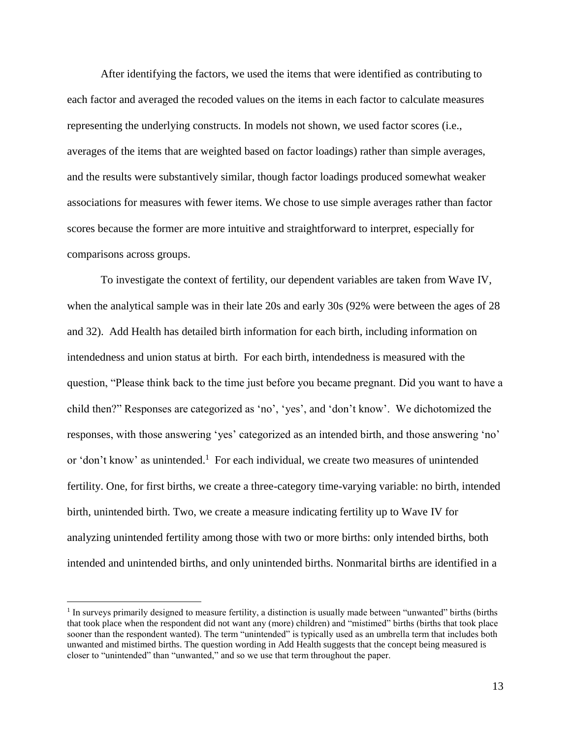After identifying the factors, we used the items that were identified as contributing to each factor and averaged the recoded values on the items in each factor to calculate measures representing the underlying constructs. In models not shown, we used factor scores (i.e., averages of the items that are weighted based on factor loadings) rather than simple averages, and the results were substantively similar, though factor loadings produced somewhat weaker associations for measures with fewer items. We chose to use simple averages rather than factor scores because the former are more intuitive and straightforward to interpret, especially for comparisons across groups.

To investigate the context of fertility, our dependent variables are taken from Wave IV, when the analytical sample was in their late 20s and early 30s (92% were between the ages of 28 and 32). Add Health has detailed birth information for each birth, including information on intendedness and union status at birth. For each birth, intendedness is measured with the question, "Please think back to the time just before you became pregnant. Did you want to have a child then?" Responses are categorized as 'no', 'yes', and 'don't know'. We dichotomized the responses, with those answering 'yes' categorized as an intended birth, and those answering 'no' or 'don't know' as unintended.<sup>1</sup> For each individual, we create two measures of unintended fertility. One, for first births, we create a three-category time-varying variable: no birth, intended birth, unintended birth. Two, we create a measure indicating fertility up to Wave IV for analyzing unintended fertility among those with two or more births: only intended births, both intended and unintended births, and only unintended births. Nonmarital births are identified in a

 $\overline{a}$ 

<sup>&</sup>lt;sup>1</sup> In surveys primarily designed to measure fertility, a distinction is usually made between "unwanted" births (births that took place when the respondent did not want any (more) children) and "mistimed" births (births that took place sooner than the respondent wanted). The term "unintended" is typically used as an umbrella term that includes both unwanted and mistimed births. The question wording in Add Health suggests that the concept being measured is closer to "unintended" than "unwanted," and so we use that term throughout the paper.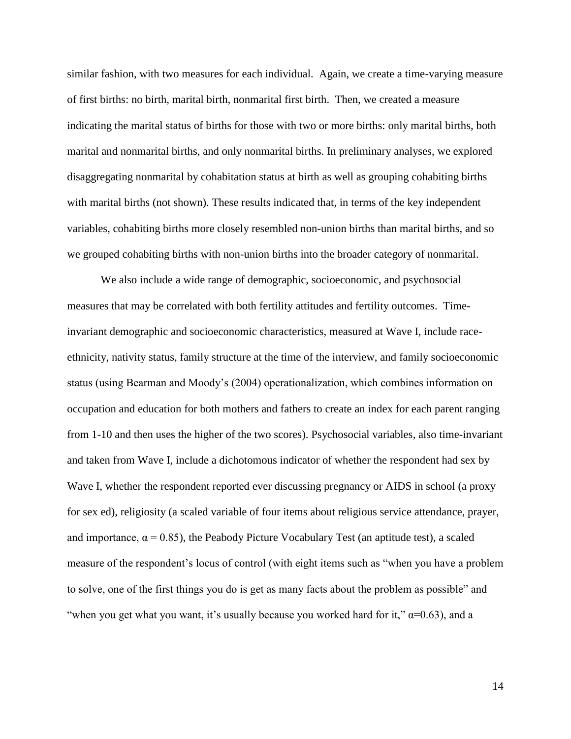similar fashion, with two measures for each individual. Again, we create a time-varying measure of first births: no birth, marital birth, nonmarital first birth. Then, we created a measure indicating the marital status of births for those with two or more births: only marital births, both marital and nonmarital births, and only nonmarital births. In preliminary analyses, we explored disaggregating nonmarital by cohabitation status at birth as well as grouping cohabiting births with marital births (not shown). These results indicated that, in terms of the key independent variables, cohabiting births more closely resembled non-union births than marital births, and so we grouped cohabiting births with non-union births into the broader category of nonmarital.

We also include a wide range of demographic, socioeconomic, and psychosocial measures that may be correlated with both fertility attitudes and fertility outcomes. Timeinvariant demographic and socioeconomic characteristics, measured at Wave I, include raceethnicity, nativity status, family structure at the time of the interview, and family socioeconomic status (using Bearman and Moody's (2004) operationalization, which combines information on occupation and education for both mothers and fathers to create an index for each parent ranging from 1-10 and then uses the higher of the two scores). Psychosocial variables, also time-invariant and taken from Wave I, include a dichotomous indicator of whether the respondent had sex by Wave I, whether the respondent reported ever discussing pregnancy or AIDS in school (a proxy for sex ed), religiosity (a scaled variable of four items about religious service attendance, prayer, and importance,  $\alpha = 0.85$ ), the Peabody Picture Vocabulary Test (an aptitude test), a scaled measure of the respondent's locus of control (with eight items such as "when you have a problem to solve, one of the first things you do is get as many facts about the problem as possible" and "when you get what you want, it's usually because you worked hard for it,"  $\alpha$ =0.63), and a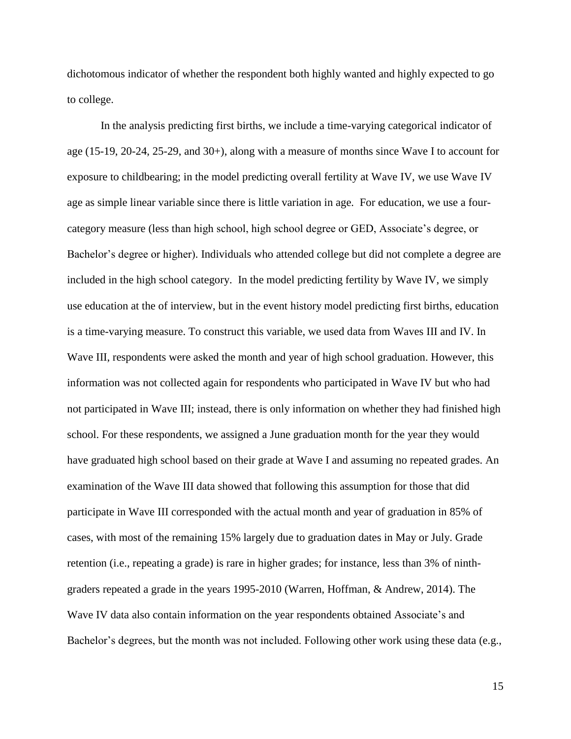dichotomous indicator of whether the respondent both highly wanted and highly expected to go to college.

In the analysis predicting first births, we include a time-varying categorical indicator of age (15-19, 20-24, 25-29, and 30+), along with a measure of months since Wave I to account for exposure to childbearing; in the model predicting overall fertility at Wave IV, we use Wave IV age as simple linear variable since there is little variation in age. For education, we use a fourcategory measure (less than high school, high school degree or GED, Associate's degree, or Bachelor's degree or higher). Individuals who attended college but did not complete a degree are included in the high school category. In the model predicting fertility by Wave IV, we simply use education at the of interview, but in the event history model predicting first births, education is a time-varying measure. To construct this variable, we used data from Waves III and IV. In Wave III, respondents were asked the month and year of high school graduation. However, this information was not collected again for respondents who participated in Wave IV but who had not participated in Wave III; instead, there is only information on whether they had finished high school. For these respondents, we assigned a June graduation month for the year they would have graduated high school based on their grade at Wave I and assuming no repeated grades. An examination of the Wave III data showed that following this assumption for those that did participate in Wave III corresponded with the actual month and year of graduation in 85% of cases, with most of the remaining 15% largely due to graduation dates in May or July. Grade retention (i.e., repeating a grade) is rare in higher grades; for instance, less than 3% of ninthgraders repeated a grade in the years 1995-2010 (Warren, Hoffman, & Andrew, 2014). The Wave IV data also contain information on the year respondents obtained Associate's and Bachelor's degrees, but the month was not included. Following other work using these data (e.g.,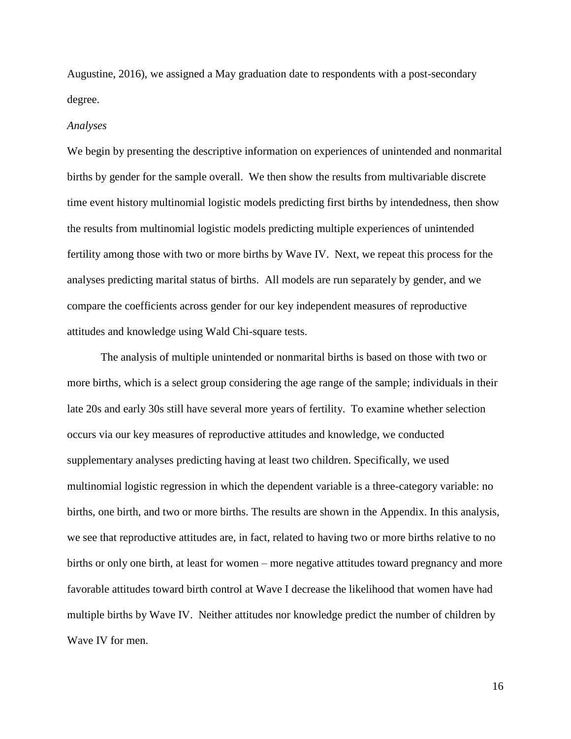Augustine, 2016), we assigned a May graduation date to respondents with a post-secondary degree.

#### *Analyses*

We begin by presenting the descriptive information on experiences of unintended and nonmarital births by gender for the sample overall. We then show the results from multivariable discrete time event history multinomial logistic models predicting first births by intendedness, then show the results from multinomial logistic models predicting multiple experiences of unintended fertility among those with two or more births by Wave IV. Next, we repeat this process for the analyses predicting marital status of births. All models are run separately by gender, and we compare the coefficients across gender for our key independent measures of reproductive attitudes and knowledge using Wald Chi-square tests.

The analysis of multiple unintended or nonmarital births is based on those with two or more births, which is a select group considering the age range of the sample; individuals in their late 20s and early 30s still have several more years of fertility. To examine whether selection occurs via our key measures of reproductive attitudes and knowledge, we conducted supplementary analyses predicting having at least two children. Specifically, we used multinomial logistic regression in which the dependent variable is a three-category variable: no births, one birth, and two or more births. The results are shown in the Appendix. In this analysis, we see that reproductive attitudes are, in fact, related to having two or more births relative to no births or only one birth, at least for women – more negative attitudes toward pregnancy and more favorable attitudes toward birth control at Wave I decrease the likelihood that women have had multiple births by Wave IV. Neither attitudes nor knowledge predict the number of children by Wave IV for men.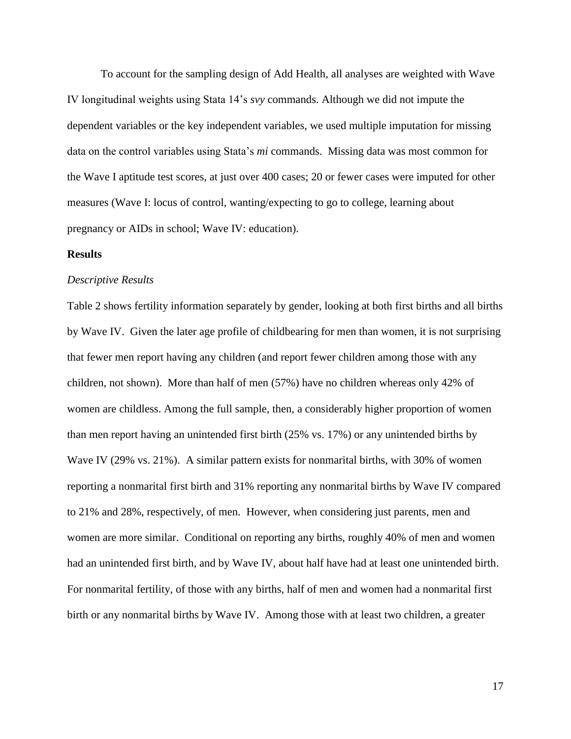To account for the sampling design of Add Health, all analyses are weighted with Wave IV longitudinal weights using Stata 14's *svy* commands. Although we did not impute the dependent variables or the key independent variables, we used multiple imputation for missing data on the control variables using Stata's *mi* commands. Missing data was most common for the Wave I aptitude test scores, at just over 400 cases; 20 or fewer cases were imputed for other measures (Wave I: locus of control, wanting/expecting to go to college, learning about pregnancy or AIDs in school; Wave IV: education).

#### **Results**

#### *Descriptive Results*

Table 2 shows fertility information separately by gender, looking at both first births and all births by Wave IV. Given the later age profile of childbearing for men than women, it is not surprising that fewer men report having any children (and report fewer children among those with any children, not shown). More than half of men (57%) have no children whereas only 42% of women are childless. Among the full sample, then, a considerably higher proportion of women than men report having an unintended first birth (25% vs. 17%) or any unintended births by Wave IV (29% vs. 21%). A similar pattern exists for nonmarital births, with 30% of women reporting a nonmarital first birth and 31% reporting any nonmarital births by Wave IV compared to 21% and 28%, respectively, of men. However, when considering just parents, men and women are more similar. Conditional on reporting any births, roughly 40% of men and women had an unintended first birth, and by Wave IV, about half have had at least one unintended birth. For nonmarital fertility, of those with any births, half of men and women had a nonmarital first birth or any nonmarital births by Wave IV. Among those with at least two children, a greater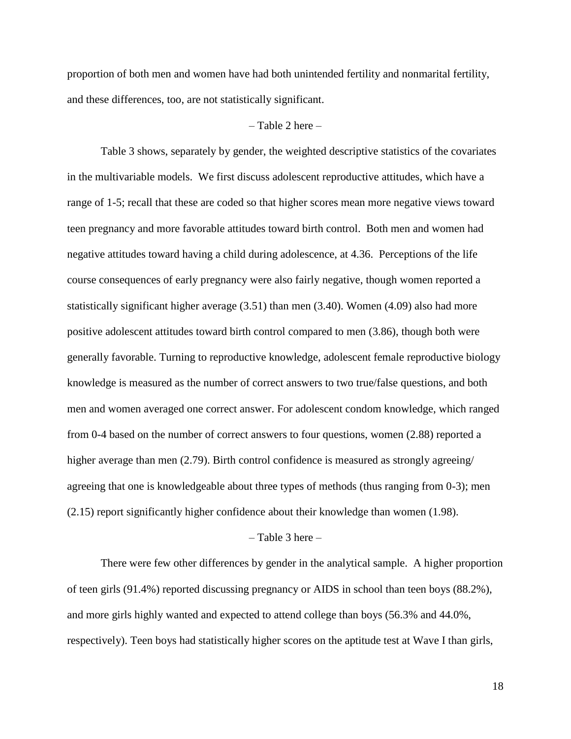proportion of both men and women have had both unintended fertility and nonmarital fertility, and these differences, too, are not statistically significant.

#### $-$  Table 2 here  $-$

Table 3 shows, separately by gender, the weighted descriptive statistics of the covariates in the multivariable models. We first discuss adolescent reproductive attitudes, which have a range of 1-5; recall that these are coded so that higher scores mean more negative views toward teen pregnancy and more favorable attitudes toward birth control. Both men and women had negative attitudes toward having a child during adolescence, at 4.36. Perceptions of the life course consequences of early pregnancy were also fairly negative, though women reported a statistically significant higher average (3.51) than men (3.40). Women (4.09) also had more positive adolescent attitudes toward birth control compared to men (3.86), though both were generally favorable. Turning to reproductive knowledge, adolescent female reproductive biology knowledge is measured as the number of correct answers to two true/false questions, and both men and women averaged one correct answer. For adolescent condom knowledge, which ranged from 0-4 based on the number of correct answers to four questions, women (2.88) reported a higher average than men (2.79). Birth control confidence is measured as strongly agreeing/ agreeing that one is knowledgeable about three types of methods (thus ranging from 0-3); men (2.15) report significantly higher confidence about their knowledge than women (1.98).

#### $-$  Table 3 here  $-$

There were few other differences by gender in the analytical sample. A higher proportion of teen girls (91.4%) reported discussing pregnancy or AIDS in school than teen boys (88.2%), and more girls highly wanted and expected to attend college than boys (56.3% and 44.0%, respectively). Teen boys had statistically higher scores on the aptitude test at Wave I than girls,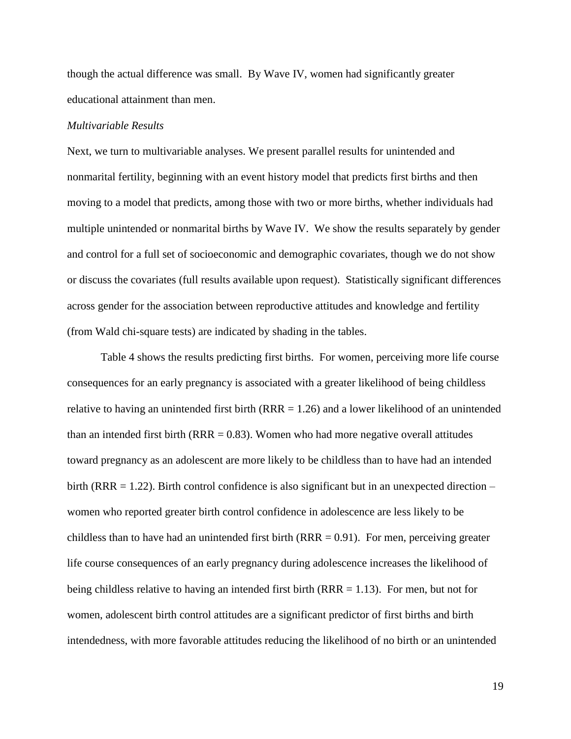though the actual difference was small. By Wave IV, women had significantly greater educational attainment than men.

#### *Multivariable Results*

Next, we turn to multivariable analyses. We present parallel results for unintended and nonmarital fertility, beginning with an event history model that predicts first births and then moving to a model that predicts, among those with two or more births, whether individuals had multiple unintended or nonmarital births by Wave IV. We show the results separately by gender and control for a full set of socioeconomic and demographic covariates, though we do not show or discuss the covariates (full results available upon request). Statistically significant differences across gender for the association between reproductive attitudes and knowledge and fertility (from Wald chi-square tests) are indicated by shading in the tables.

Table 4 shows the results predicting first births. For women, perceiving more life course consequences for an early pregnancy is associated with a greater likelihood of being childless relative to having an unintended first birth  $(RRR = 1.26)$  and a lower likelihood of an unintended than an intended first birth  $(RRR = 0.83)$ . Women who had more negative overall attitudes toward pregnancy as an adolescent are more likely to be childless than to have had an intended birth (RRR = 1.22). Birth control confidence is also significant but in an unexpected direction – women who reported greater birth control confidence in adolescence are less likely to be childless than to have had an unintended first birth  $(RRR = 0.91)$ . For men, perceiving greater life course consequences of an early pregnancy during adolescence increases the likelihood of being childless relative to having an intended first birth ( $RRR = 1.13$ ). For men, but not for women, adolescent birth control attitudes are a significant predictor of first births and birth intendedness, with more favorable attitudes reducing the likelihood of no birth or an unintended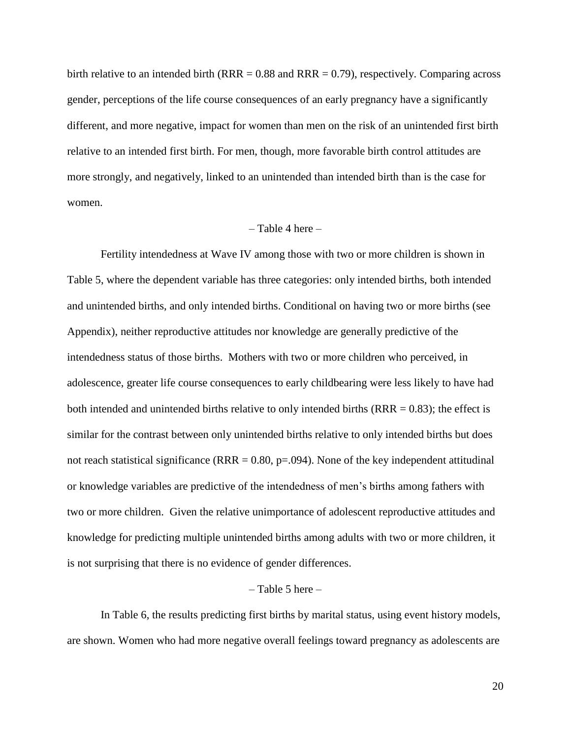birth relative to an intended birth (RRR  $= 0.88$  and RRR  $= 0.79$ ), respectively. Comparing across gender, perceptions of the life course consequences of an early pregnancy have a significantly different, and more negative, impact for women than men on the risk of an unintended first birth relative to an intended first birth. For men, though, more favorable birth control attitudes are more strongly, and negatively, linked to an unintended than intended birth than is the case for women.

#### $-$  Table 4 here  $-$

Fertility intendedness at Wave IV among those with two or more children is shown in Table 5, where the dependent variable has three categories: only intended births, both intended and unintended births, and only intended births. Conditional on having two or more births (see Appendix), neither reproductive attitudes nor knowledge are generally predictive of the intendedness status of those births. Mothers with two or more children who perceived, in adolescence, greater life course consequences to early childbearing were less likely to have had both intended and unintended births relative to only intended births  $(RRR = 0.83)$ ; the effect is similar for the contrast between only unintended births relative to only intended births but does not reach statistical significance (RRR =  $0.80$ , p= $.094$ ). None of the key independent attitudinal or knowledge variables are predictive of the intendedness of men's births among fathers with two or more children. Given the relative unimportance of adolescent reproductive attitudes and knowledge for predicting multiple unintended births among adults with two or more children, it is not surprising that there is no evidence of gender differences.

## $-$  Table 5 here  $-$

In Table 6, the results predicting first births by marital status, using event history models, are shown. Women who had more negative overall feelings toward pregnancy as adolescents are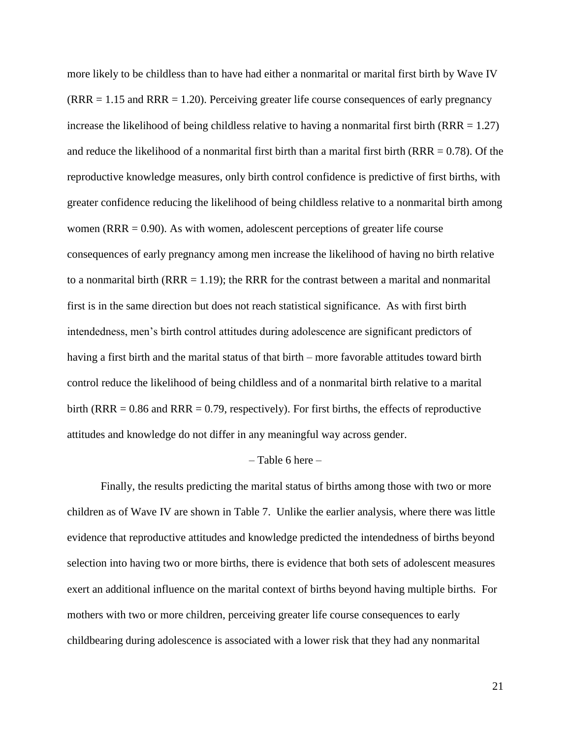more likely to be childless than to have had either a nonmarital or marital first birth by Wave IV  $(RRR = 1.15$  and  $RRR = 1.20$ ). Perceiving greater life course consequences of early pregnancy increase the likelihood of being childless relative to having a nonmarital first birth (RRR  $= 1.27$ ) and reduce the likelihood of a nonmarital first birth than a marital first birth ( $RRR = 0.78$ ). Of the reproductive knowledge measures, only birth control confidence is predictive of first births, with greater confidence reducing the likelihood of being childless relative to a nonmarital birth among women (RRR  $= 0.90$ ). As with women, adolescent perceptions of greater life course consequences of early pregnancy among men increase the likelihood of having no birth relative to a nonmarital birth  $(RRR = 1.19)$ ; the RRR for the contrast between a marital and nonmarital first is in the same direction but does not reach statistical significance. As with first birth intendedness, men's birth control attitudes during adolescence are significant predictors of having a first birth and the marital status of that birth – more favorable attitudes toward birth control reduce the likelihood of being childless and of a nonmarital birth relative to a marital birth (RRR  $= 0.86$  and RRR  $= 0.79$ , respectively). For first births, the effects of reproductive attitudes and knowledge do not differ in any meaningful way across gender.

#### – Table 6 here –

Finally, the results predicting the marital status of births among those with two or more children as of Wave IV are shown in Table 7. Unlike the earlier analysis, where there was little evidence that reproductive attitudes and knowledge predicted the intendedness of births beyond selection into having two or more births, there is evidence that both sets of adolescent measures exert an additional influence on the marital context of births beyond having multiple births. For mothers with two or more children, perceiving greater life course consequences to early childbearing during adolescence is associated with a lower risk that they had any nonmarital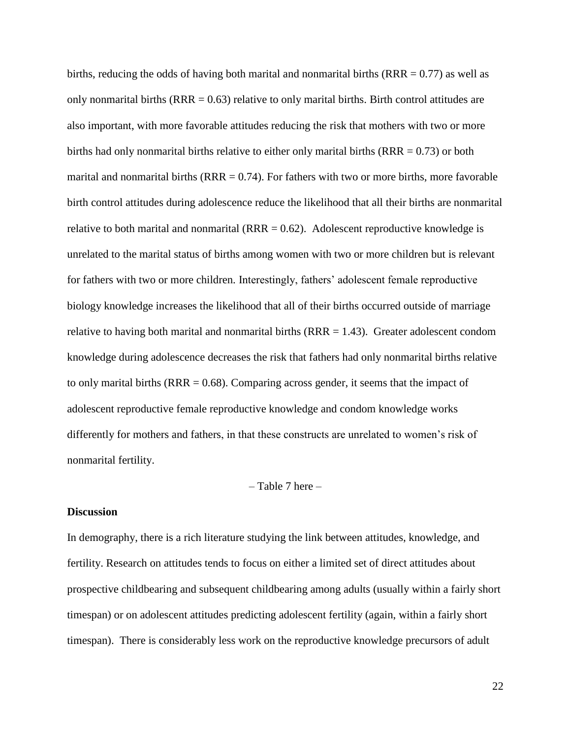births, reducing the odds of having both marital and nonmarital births  $(RRR = 0.77)$  as well as only nonmarital births  $(RRR = 0.63)$  relative to only marital births. Birth control attitudes are also important, with more favorable attitudes reducing the risk that mothers with two or more births had only nonmarital births relative to either only marital births ( $RRR = 0.73$ ) or both marital and nonmarital births ( $RRR = 0.74$ ). For fathers with two or more births, more favorable birth control attitudes during adolescence reduce the likelihood that all their births are nonmarital relative to both marital and nonmarital ( $RRR = 0.62$ ). Adolescent reproductive knowledge is unrelated to the marital status of births among women with two or more children but is relevant for fathers with two or more children. Interestingly, fathers' adolescent female reproductive biology knowledge increases the likelihood that all of their births occurred outside of marriage relative to having both marital and nonmarital births  $(RRR = 1.43)$ . Greater adolescent condom knowledge during adolescence decreases the risk that fathers had only nonmarital births relative to only marital births ( $RRR = 0.68$ ). Comparing across gender, it seems that the impact of adolescent reproductive female reproductive knowledge and condom knowledge works differently for mothers and fathers, in that these constructs are unrelated to women's risk of nonmarital fertility.

## – Table 7 here –

## **Discussion**

In demography, there is a rich literature studying the link between attitudes, knowledge, and fertility. Research on attitudes tends to focus on either a limited set of direct attitudes about prospective childbearing and subsequent childbearing among adults (usually within a fairly short timespan) or on adolescent attitudes predicting adolescent fertility (again, within a fairly short timespan). There is considerably less work on the reproductive knowledge precursors of adult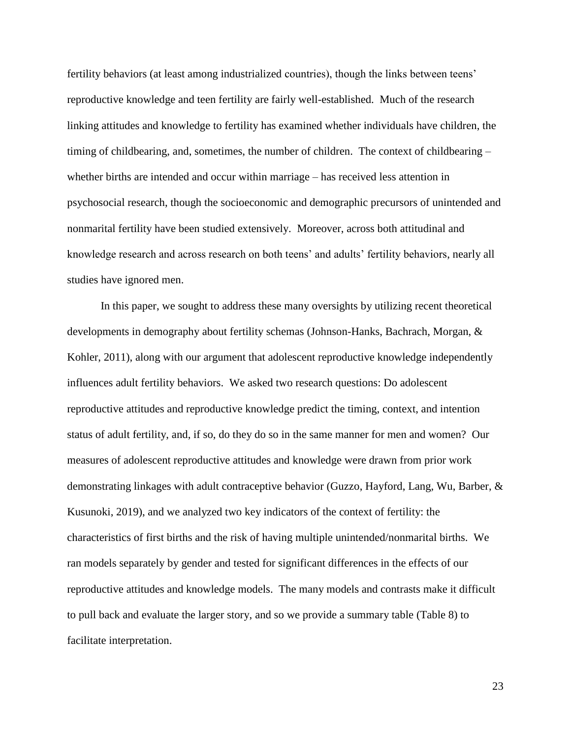fertility behaviors (at least among industrialized countries), though the links between teens' reproductive knowledge and teen fertility are fairly well-established. Much of the research linking attitudes and knowledge to fertility has examined whether individuals have children, the timing of childbearing, and, sometimes, the number of children. The context of childbearing – whether births are intended and occur within marriage – has received less attention in psychosocial research, though the socioeconomic and demographic precursors of unintended and nonmarital fertility have been studied extensively. Moreover, across both attitudinal and knowledge research and across research on both teens' and adults' fertility behaviors, nearly all studies have ignored men.

In this paper, we sought to address these many oversights by utilizing recent theoretical developments in demography about fertility schemas (Johnson-Hanks, Bachrach, Morgan, & Kohler, 2011), along with our argument that adolescent reproductive knowledge independently influences adult fertility behaviors. We asked two research questions: Do adolescent reproductive attitudes and reproductive knowledge predict the timing, context, and intention status of adult fertility, and, if so, do they do so in the same manner for men and women? Our measures of adolescent reproductive attitudes and knowledge were drawn from prior work demonstrating linkages with adult contraceptive behavior (Guzzo, Hayford, Lang, Wu, Barber, & Kusunoki, 2019), and we analyzed two key indicators of the context of fertility: the characteristics of first births and the risk of having multiple unintended/nonmarital births. We ran models separately by gender and tested for significant differences in the effects of our reproductive attitudes and knowledge models. The many models and contrasts make it difficult to pull back and evaluate the larger story, and so we provide a summary table (Table 8) to facilitate interpretation.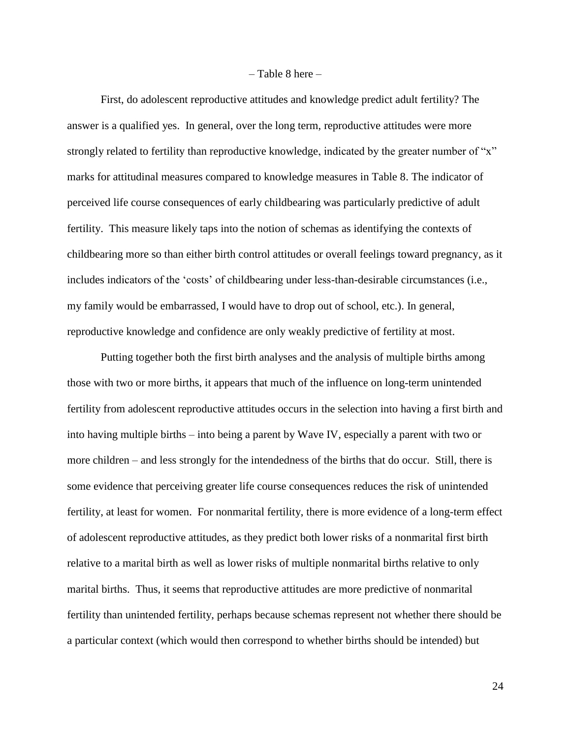#### $-$  Table 8 here  $-$

First, do adolescent reproductive attitudes and knowledge predict adult fertility? The answer is a qualified yes. In general, over the long term, reproductive attitudes were more strongly related to fertility than reproductive knowledge, indicated by the greater number of "x" marks for attitudinal measures compared to knowledge measures in Table 8. The indicator of perceived life course consequences of early childbearing was particularly predictive of adult fertility. This measure likely taps into the notion of schemas as identifying the contexts of childbearing more so than either birth control attitudes or overall feelings toward pregnancy, as it includes indicators of the 'costs' of childbearing under less-than-desirable circumstances (i.e., my family would be embarrassed, I would have to drop out of school, etc.). In general, reproductive knowledge and confidence are only weakly predictive of fertility at most.

Putting together both the first birth analyses and the analysis of multiple births among those with two or more births, it appears that much of the influence on long-term unintended fertility from adolescent reproductive attitudes occurs in the selection into having a first birth and into having multiple births – into being a parent by Wave IV, especially a parent with two or more children – and less strongly for the intendedness of the births that do occur. Still, there is some evidence that perceiving greater life course consequences reduces the risk of unintended fertility, at least for women. For nonmarital fertility, there is more evidence of a long-term effect of adolescent reproductive attitudes, as they predict both lower risks of a nonmarital first birth relative to a marital birth as well as lower risks of multiple nonmarital births relative to only marital births. Thus, it seems that reproductive attitudes are more predictive of nonmarital fertility than unintended fertility, perhaps because schemas represent not whether there should be a particular context (which would then correspond to whether births should be intended) but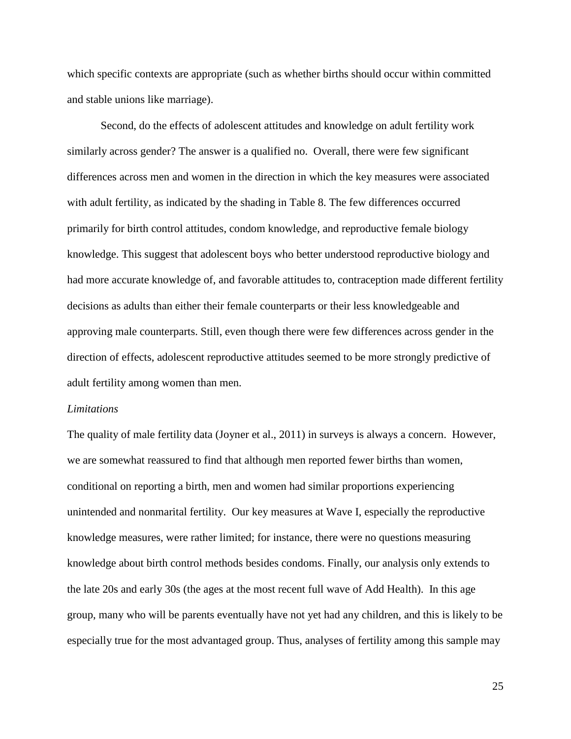which specific contexts are appropriate (such as whether births should occur within committed and stable unions like marriage).

Second, do the effects of adolescent attitudes and knowledge on adult fertility work similarly across gender? The answer is a qualified no. Overall, there were few significant differences across men and women in the direction in which the key measures were associated with adult fertility, as indicated by the shading in Table 8. The few differences occurred primarily for birth control attitudes, condom knowledge, and reproductive female biology knowledge. This suggest that adolescent boys who better understood reproductive biology and had more accurate knowledge of, and favorable attitudes to, contraception made different fertility decisions as adults than either their female counterparts or their less knowledgeable and approving male counterparts. Still, even though there were few differences across gender in the direction of effects, adolescent reproductive attitudes seemed to be more strongly predictive of adult fertility among women than men.

#### *Limitations*

The quality of male fertility data (Joyner et al., 2011) in surveys is always a concern. However, we are somewhat reassured to find that although men reported fewer births than women, conditional on reporting a birth, men and women had similar proportions experiencing unintended and nonmarital fertility. Our key measures at Wave I, especially the reproductive knowledge measures, were rather limited; for instance, there were no questions measuring knowledge about birth control methods besides condoms. Finally, our analysis only extends to the late 20s and early 30s (the ages at the most recent full wave of Add Health). In this age group, many who will be parents eventually have not yet had any children, and this is likely to be especially true for the most advantaged group. Thus, analyses of fertility among this sample may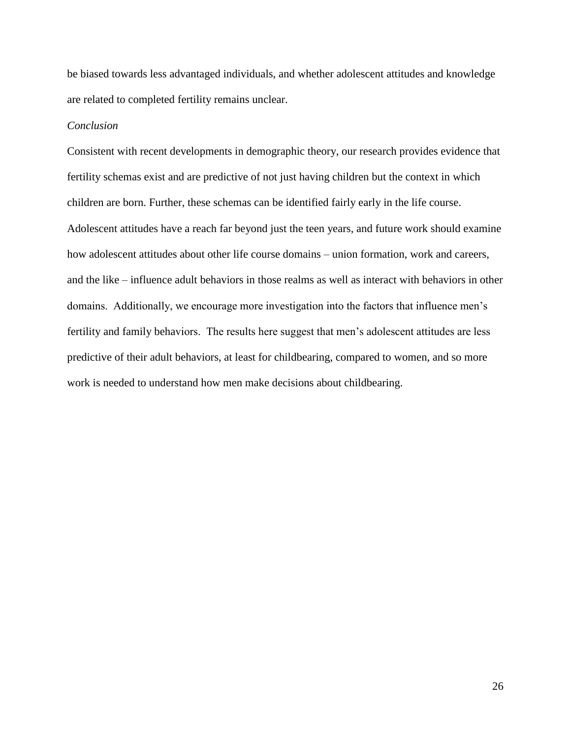be biased towards less advantaged individuals, and whether adolescent attitudes and knowledge are related to completed fertility remains unclear.

## *Conclusion*

Consistent with recent developments in demographic theory, our research provides evidence that fertility schemas exist and are predictive of not just having children but the context in which children are born. Further, these schemas can be identified fairly early in the life course. Adolescent attitudes have a reach far beyond just the teen years, and future work should examine how adolescent attitudes about other life course domains – union formation, work and careers, and the like – influence adult behaviors in those realms as well as interact with behaviors in other domains. Additionally, we encourage more investigation into the factors that influence men's fertility and family behaviors. The results here suggest that men's adolescent attitudes are less predictive of their adult behaviors, at least for childbearing, compared to women, and so more work is needed to understand how men make decisions about childbearing.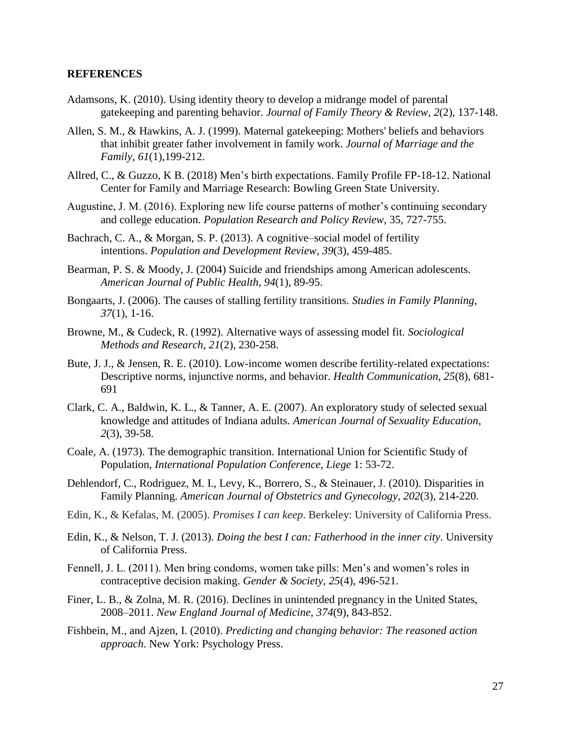## **REFERENCES**

- Adamsons, K. (2010). Using identity theory to develop a midrange model of parental gatekeeping and parenting behavior. *Journal of Family Theory & Review*, *2*(2), 137-148.
- Allen, S. M., & Hawkins, A. J. (1999). Maternal gatekeeping: Mothers' beliefs and behaviors that inhibit greater father involvement in family work. *Journal of Marriage and the Family*, *61*(1),199-212.
- Allred, C., & Guzzo, K B. (2018) Men's birth expectations. Family Profile FP-18-12. National Center for Family and Marriage Research: Bowling Green State University.
- Augustine, J. M. (2016). Exploring new life course patterns of mother's continuing secondary and college education. *Population Research and Policy Review*, 35, 727-755.
- Bachrach, C. A., & Morgan, S. P. (2013). A cognitive–social model of fertility intentions. *Population and Development Review*, *39*(3), 459-485.
- Bearman, P. S. & Moody, J. (2004) Suicide and friendships among American adolescents. *American Journal of Public Health*, *94*(1), 89-95.
- Bongaarts, J. (2006). The causes of stalling fertility transitions. *Studies in Family Planning*, *37*(1), 1-16.
- Browne, M., & Cudeck, R. (1992). Alternative ways of assessing model fit. *Sociological Methods and Research*, *21*(2), 230-258.
- Bute, J. J., & Jensen, R. E. (2010). Low-income women describe fertility-related expectations: Descriptive norms, injunctive norms, and behavior. *Health Communication*, *25*(8), 681- 691
- Clark, C. A., Baldwin, K. L., & Tanner, A. E. (2007). An exploratory study of selected sexual knowledge and attitudes of Indiana adults. *American Journal of Sexuality Education, 2*(3), 39-58.
- Coale, A. (1973). The demographic transition. International Union for Scientific Study of Population, *International Population Conference, Liege* 1: 53-72.
- Dehlendorf, C., Rodriguez, M. I., Levy, K., Borrero, S., & Steinauer, J. (2010). Disparities in Family Planning. *American Journal of Obstetrics and Gynecology, 202*(3), 214-220.
- Edin, K., & Kefalas, M. (2005). *Promises I can keep*. Berkeley: University of California Press.
- Edin, K., & Nelson, T. J. (2013). *Doing the best I can: Fatherhood in the inner city*. University of California Press.
- Fennell, J. L. (2011). Men bring condoms, women take pills: Men's and women's roles in contraceptive decision making. *Gender & Society*, *25*(4), 496-521.
- Finer, L. B., & Zolna, M. R. (2016). Declines in unintended pregnancy in the United States, 2008–2011. *New England Journal of Medicine*, *374*(9), 843-852.
- Fishbein, M., and Ajzen, I. (2010). *Predicting and changing behavior: The reasoned action approach*. New York: Psychology Press.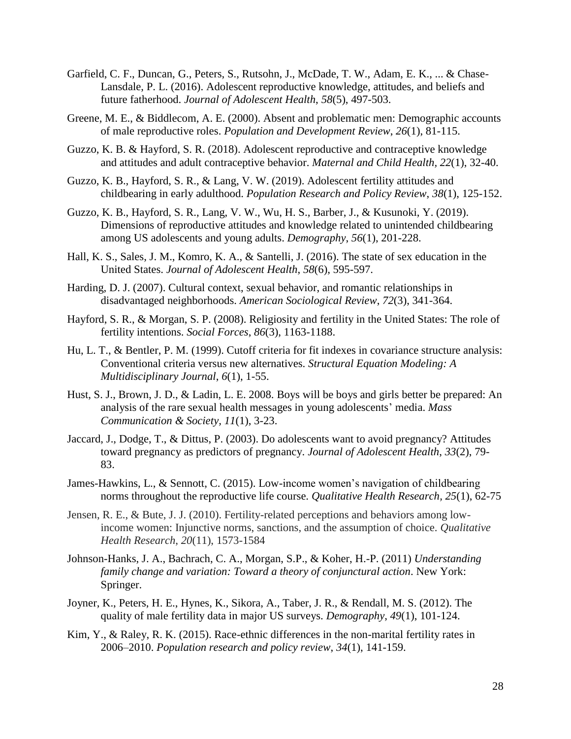- Garfield, C. F., Duncan, G., Peters, S., Rutsohn, J., McDade, T. W., Adam, E. K., ... & Chase-Lansdale, P. L. (2016). Adolescent reproductive knowledge, attitudes, and beliefs and future fatherhood. *Journal of Adolescent Health*, *58*(5), 497-503.
- Greene, M. E., & Biddlecom, A. E. (2000). Absent and problematic men: Demographic accounts of male reproductive roles. *Population and Development Review*, *26*(1), 81-115.
- Guzzo, K. B. & Hayford, S. R. (2018). Adolescent reproductive and contraceptive knowledge and attitudes and adult contraceptive behavior. *Maternal and Child Health, 22*(1), 32-40.
- Guzzo, K. B., Hayford, S. R., & Lang, V. W. (2019). Adolescent fertility attitudes and childbearing in early adulthood. *Population Research and Policy Review*, *38*(1), 125-152.
- Guzzo, K. B., Hayford, S. R., Lang, V. W., Wu, H. S., Barber, J., & Kusunoki, Y. (2019). Dimensions of reproductive attitudes and knowledge related to unintended childbearing among US adolescents and young adults. *Demography*, *56*(1), 201-228.
- Hall, K. S., Sales, J. M., Komro, K. A., & Santelli, J. (2016). The state of sex education in the United States. *Journal of Adolescent Health*, *58*(6), 595-597.
- Harding, D. J. (2007). Cultural context, sexual behavior, and romantic relationships in disadvantaged neighborhoods. *American Sociological Review*, *72*(3), 341-364.
- Hayford, S. R., & Morgan, S. P. (2008). Religiosity and fertility in the United States: The role of fertility intentions. *Social Forces*, *86*(3), 1163-1188.
- Hu, L. T., & Bentler, P. M. (1999). Cutoff criteria for fit indexes in covariance structure analysis: Conventional criteria versus new alternatives. *Structural Equation Modeling: A Multidisciplinary Journal*, *6*(1), 1-55.
- Hust, S. J., Brown, J. D., & Ladin, L. E. 2008. Boys will be boys and girls better be prepared: An analysis of the rare sexual health messages in young adolescents' media. *Mass Communication & Society, 11*(1), 3-23.
- Jaccard, J., Dodge, T., & Dittus, P. (2003). Do adolescents want to avoid pregnancy? Attitudes toward pregnancy as predictors of pregnancy. *Journal of Adolescent Health*, *33*(2), 79- 83.
- James-Hawkins, L., & Sennott, C. (2015). Low-income women's navigation of childbearing norms throughout the reproductive life course. *Qualitative Health Research, 25*(1), 62-75
- Jensen, R. E., & Bute, J. J. (2010). Fertility-related perceptions and behaviors among lowincome women: Injunctive norms, sanctions, and the assumption of choice. *Qualitative Health Research*, *20*(11), 1573-1584
- Johnson-Hanks, J. A., Bachrach, C. A., Morgan, S.P., & Koher, H.-P. (2011) *Understanding family change and variation: Toward a theory of conjunctural action*. New York: Springer.
- Joyner, K., Peters, H. E., Hynes, K., Sikora, A., Taber, J. R., & Rendall, M. S. (2012). The quality of male fertility data in major US surveys. *Demography*, *49*(1), 101-124.
- Kim, Y., & Raley, R. K. (2015). Race-ethnic differences in the non-marital fertility rates in 2006–2010. *Population research and policy review*, *34*(1), 141-159.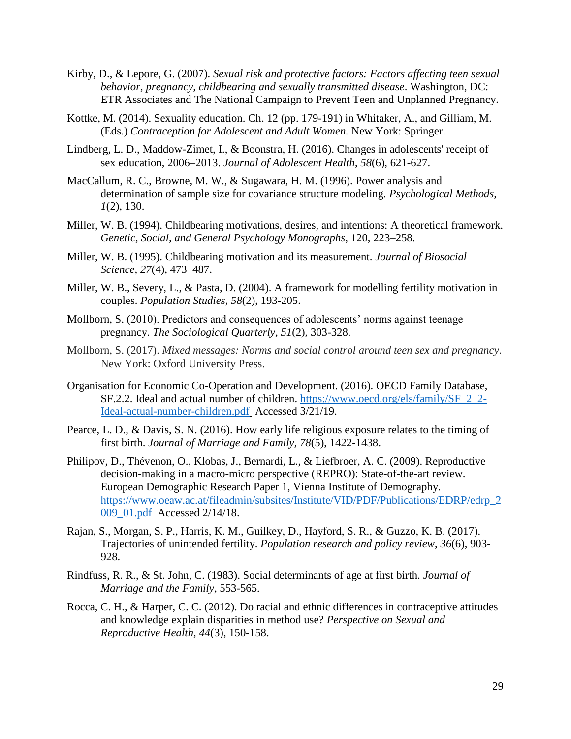- Kirby, D., & Lepore, G. (2007). *Sexual risk and protective factors: Factors affecting teen sexual behavior, pregnancy, childbearing and sexually transmitted disease*. Washington, DC: ETR Associates and The National Campaign to Prevent Teen and Unplanned Pregnancy.
- Kottke, M. (2014). Sexuality education. Ch. 12 (pp. 179-191) in Whitaker, A., and Gilliam, M. (Eds.) *Contraception for Adolescent and Adult Women.* New York: Springer.
- Lindberg, L. D., Maddow-Zimet, I., & Boonstra, H. (2016). Changes in adolescents' receipt of sex education, 2006–2013. *Journal of Adolescent Health*, *58*(6), 621-627.
- MacCallum, R. C., Browne, M. W., & Sugawara, H. M. (1996). Power analysis and determination of sample size for covariance structure modeling. *Psychological Methods, 1*(2), 130.
- Miller, W. B. (1994). Childbearing motivations, desires, and intentions: A theoretical framework. *Genetic, Social, and General Psychology Monographs*, 120, 223–258.
- Miller, W. B. (1995). Childbearing motivation and its measurement. *Journal of Biosocial Science, 27*(4), 473–487.
- Miller, W. B., Severy, L., & Pasta, D. (2004). A framework for modelling fertility motivation in couples. *Population Studies*, *58*(2), 193-205.
- Mollborn, S. (2010). Predictors and consequences of adolescents' norms against teenage pregnancy. *The Sociological Quarterly*, *51*(2), 303-328.
- Mollborn, S. (2017). *Mixed messages: Norms and social control around teen sex and pregnancy*. New York: Oxford University Press.
- Organisation for Economic Co-Operation and Development. (2016). OECD Family Database, SF.2.2. Ideal and actual number of children. [https://www.oecd.org/els/family/SF\\_2\\_2-](https://www.oecd.org/els/family/SF_2_2-Ideal-actual-number-children.pdf) [Ideal-actual-number-children.pdf](https://www.oecd.org/els/family/SF_2_2-Ideal-actual-number-children.pdf) Accessed 3/21/19.
- Pearce, L. D., & Davis, S. N. (2016). How early life religious exposure relates to the timing of first birth. *Journal of Marriage and Family, 78*(5), 1422-1438.
- Philipov, D., Thévenon, O., Klobas, J., Bernardi, L., & Liefbroer, A. C. (2009). Reproductive decision-making in a macro-micro perspective (REPRO): State-of-the-art review. European Demographic Research Paper 1, Vienna Institute of Demography. [https://www.oeaw.ac.at/fileadmin/subsites/Institute/VID/PDF/Publications/EDRP/edrp\\_2](https://www.oeaw.ac.at/fileadmin/subsites/Institute/VID/PDF/Publications/EDRP/edrp_2009_01.pdf) [009\\_01.pdf](https://www.oeaw.ac.at/fileadmin/subsites/Institute/VID/PDF/Publications/EDRP/edrp_2009_01.pdf) Accessed 2/14/18.
- Rajan, S., Morgan, S. P., Harris, K. M., Guilkey, D., Hayford, S. R., & Guzzo, K. B. (2017). Trajectories of unintended fertility. *Population research and policy review*, *36*(6), 903- 928.
- Rindfuss, R. R., & St. John, C. (1983). Social determinants of age at first birth. *Journal of Marriage and the Family*, 553-565.
- Rocca, C. H., & Harper, C. C. (2012). Do racial and ethnic differences in contraceptive attitudes and knowledge explain disparities in method use? *Perspective on Sexual and Reproductive Health, 44*(3), 150-158.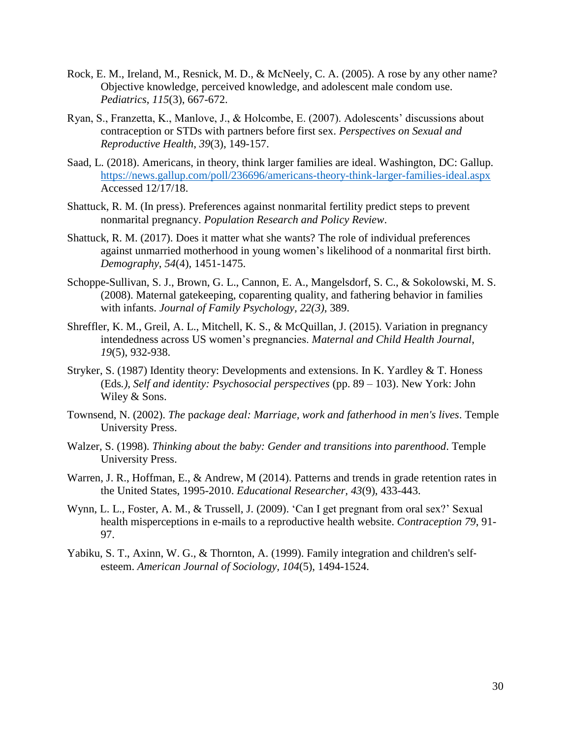- Rock, E. M., Ireland, M., Resnick, M. D., & McNeely, C. A. (2005). A rose by any other name? Objective knowledge, perceived knowledge, and adolescent male condom use. *Pediatrics*, *115*(3), 667-672.
- Ryan, S., Franzetta, K., Manlove, J., & Holcombe, E. (2007). Adolescents' discussions about contraception or STDs with partners before first sex. *Perspectives on Sexual and Reproductive Health*, *39*(3), 149-157.
- Saad, L. (2018). Americans, in theory, think larger families are ideal. Washington, DC: Gallup. <https://news.gallup.com/poll/236696/americans-theory-think-larger-families-ideal.aspx> Accessed 12/17/18.
- Shattuck, R. M. (In press). Preferences against nonmarital fertility predict steps to prevent nonmarital pregnancy. *Population Research and Policy Review*.
- Shattuck, R. M. (2017). Does it matter what she wants? The role of individual preferences against unmarried motherhood in young women's likelihood of a nonmarital first birth. *Demography*, *54*(4), 1451-1475.
- Schoppe-Sullivan, S. J., Brown, G. L., Cannon, E. A., Mangelsdorf, S. C., & Sokolowski, M. S. (2008). Maternal gatekeeping, coparenting quality, and fathering behavior in families with infants. *Journal of Family Psychology, 22(3)*, 389.
- Shreffler, K. M., Greil, A. L., Mitchell, K. S., & McQuillan, J. (2015). Variation in pregnancy intendedness across US women's pregnancies. *Maternal and Child Health Journal*, *19*(5), 932-938.
- Stryker, S. (1987) Identity theory: Developments and extensions. In K. Yardley & T. Honess (Eds*.), Self and identity: Psychosocial perspectives* (pp. 89 – 103). New York: John Wiley & Sons.
- Townsend, N. (2002). *The* p*ackage deal: Marriage, work and fatherhood in men's lives*. Temple University Press.
- Walzer, S. (1998). *Thinking about the baby: Gender and transitions into parenthood*. Temple University Press.
- Warren, J. R., Hoffman, E., & Andrew, M (2014). Patterns and trends in grade retention rates in the United States, 1995-2010. *Educational Researcher, 43*(9), 433-443.
- Wynn, L. L., Foster, A. M., & Trussell, J. (2009). 'Can I get pregnant from oral sex?' Sexual health misperceptions in e-mails to a reproductive health website. *Contraception 79*, 91- 97.
- Yabiku, S. T., Axinn, W. G., & Thornton, A. (1999). Family integration and children's self‐ esteem. *American Journal of Sociology, 104*(5), 1494-1524.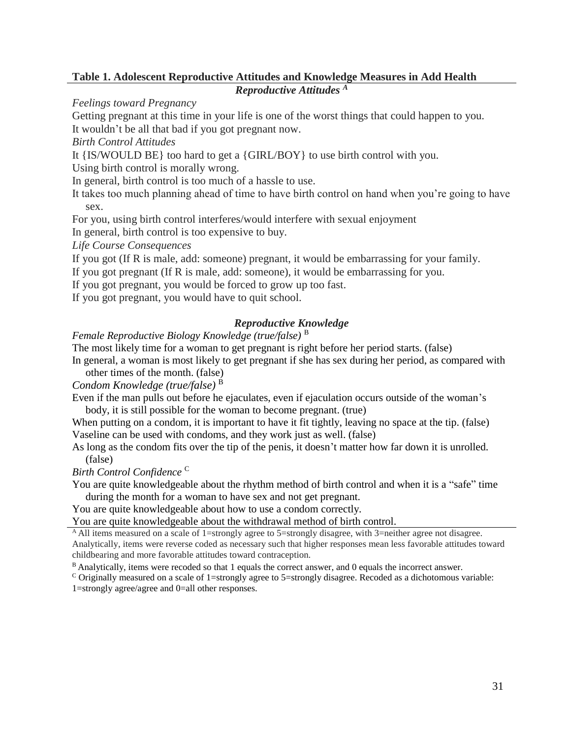# **Table 1. Adolescent Reproductive Attitudes and Knowledge Measures in Add Health**

*Reproductive Attitudes <sup>A</sup>*

*Feelings toward Pregnancy*

Getting pregnant at this time in your life is one of the worst things that could happen to you.

It wouldn't be all that bad if you got pregnant now.

*Birth Control Attitudes*

It {IS/WOULD BE} too hard to get a {GIRL/BOY} to use birth control with you.

Using birth control is morally wrong.

In general, birth control is too much of a hassle to use.

It takes too much planning ahead of time to have birth control on hand when you're going to have sex.

For you, using birth control interferes/would interfere with sexual enjoyment

In general, birth control is too expensive to buy.

*Life Course Consequences*

If you got (If R is male, add: someone) pregnant, it would be embarrassing for your family.

If you got pregnant (If R is male, add: someone), it would be embarrassing for you.

If you got pregnant, you would be forced to grow up too fast.

If you got pregnant, you would have to quit school.

# *Reproductive Knowledge*

*Female Reproductive Biology Knowledge (true/false)* <sup>B</sup>

The most likely time for a woman to get pregnant is right before her period starts. (false)

In general, a woman is most likely to get pregnant if she has sex during her period, as compared with other times of the month. (false)

*Condom Knowledge (true/false)* <sup>B</sup>

Even if the man pulls out before he ejaculates, even if ejaculation occurs outside of the woman's body, it is still possible for the woman to become pregnant. (true)

When putting on a condom, it is important to have it fit tightly, leaving no space at the tip. (false) Vaseline can be used with condoms, and they work just as well. (false)

As long as the condom fits over the tip of the penis, it doesn't matter how far down it is unrolled. (false)

*Birth Control Confidence* <sup>C</sup>

You are quite knowledgeable about the rhythm method of birth control and when it is a "safe" time during the month for a woman to have sex and not get pregnant.

You are quite knowledgeable about how to use a condom correctly.

You are quite knowledgeable about the withdrawal method of birth control.

<sup>A</sup>All items measured on a scale of 1=strongly agree to 5=strongly disagree, with 3=neither agree not disagree. Analytically, items were reverse coded as necessary such that higher responses mean less favorable attitudes toward childbearing and more favorable attitudes toward contraception.

 $B$  Analytically, items were recoded so that 1 equals the correct answer, and 0 equals the incorrect answer.

C Originally measured on a scale of 1=strongly agree to 5=strongly disagree. Recoded as a dichotomous variable: 1=strongly agree/agree and 0=all other responses.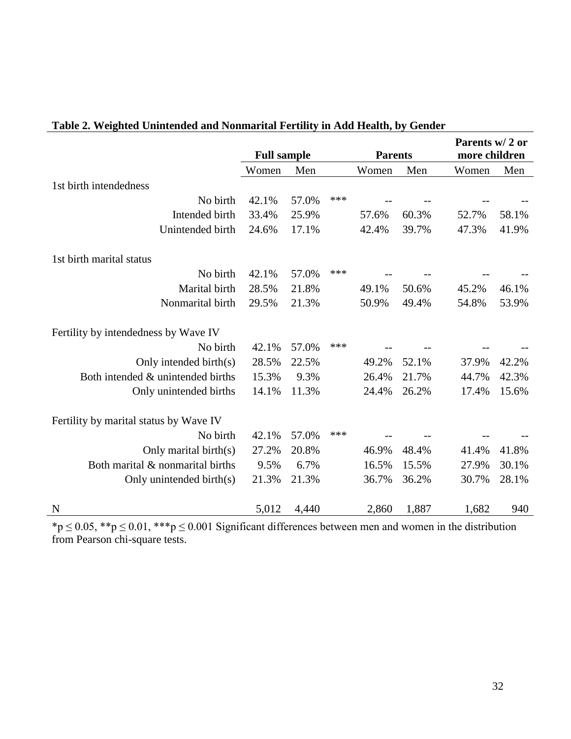|                                        |       | <b>Full sample</b><br><b>Parents</b> |     |       |       | Parents w/2 or<br>more children |       |  |
|----------------------------------------|-------|--------------------------------------|-----|-------|-------|---------------------------------|-------|--|
|                                        | Women | Men                                  |     | Women | Men   | Women                           | Men   |  |
| 1st birth intendedness                 |       |                                      |     |       |       |                                 |       |  |
| No birth                               | 42.1% | 57.0%                                | *** |       |       |                                 |       |  |
| Intended birth                         | 33.4% | 25.9%                                |     | 57.6% | 60.3% | 52.7%                           | 58.1% |  |
| Unintended birth                       | 24.6% | 17.1%                                |     | 42.4% | 39.7% | 47.3%                           | 41.9% |  |
| 1st birth marital status               |       |                                      |     |       |       |                                 |       |  |
| No birth                               | 42.1% | 57.0%                                | *** |       |       |                                 |       |  |
| Marital birth                          | 28.5% | 21.8%                                |     | 49.1% | 50.6% | 45.2%                           | 46.1% |  |
| Nonmarital birth                       | 29.5% | 21.3%                                |     | 50.9% | 49.4% | 54.8%                           | 53.9% |  |
| Fertility by intendedness by Wave IV   |       |                                      |     |       |       |                                 |       |  |
| No birth                               | 42.1% | 57.0%                                | *** |       |       |                                 |       |  |
| Only intended birth(s)                 | 28.5% | 22.5%                                |     | 49.2% | 52.1% | 37.9%                           | 42.2% |  |
| Both intended & unintended births      | 15.3% | 9.3%                                 |     | 26.4% | 21.7% | 44.7%                           | 42.3% |  |
| Only unintended births                 | 14.1% | 11.3%                                |     | 24.4% | 26.2% | 17.4%                           | 15.6% |  |
| Fertility by marital status by Wave IV |       |                                      |     |       |       |                                 |       |  |
| No birth                               | 42.1% | 57.0%                                | *** |       |       |                                 |       |  |
| Only marital birth(s)                  | 27.2% | 20.8%                                |     | 46.9% | 48.4% | 41.4%                           | 41.8% |  |
| Both marital & nonmarital births       | 9.5%  | 6.7%                                 |     | 16.5% | 15.5% | 27.9%                           | 30.1% |  |
| Only unintended birth(s)               | 21.3% | 21.3%                                |     | 36.7% | 36.2% | 30.7%                           | 28.1% |  |
| N                                      | 5,012 | 4,440                                |     | 2,860 | 1,887 | 1,682                           | 940   |  |

# **Table 2. Weighted Unintended and Nonmarital Fertility in Add Health, by Gender**

\*p  $\leq$  0.05, \*\*p  $\leq$  0.01, \*\*\*p  $\leq$  0.001 Significant differences between men and women in the distribution from Pearson chi-square tests.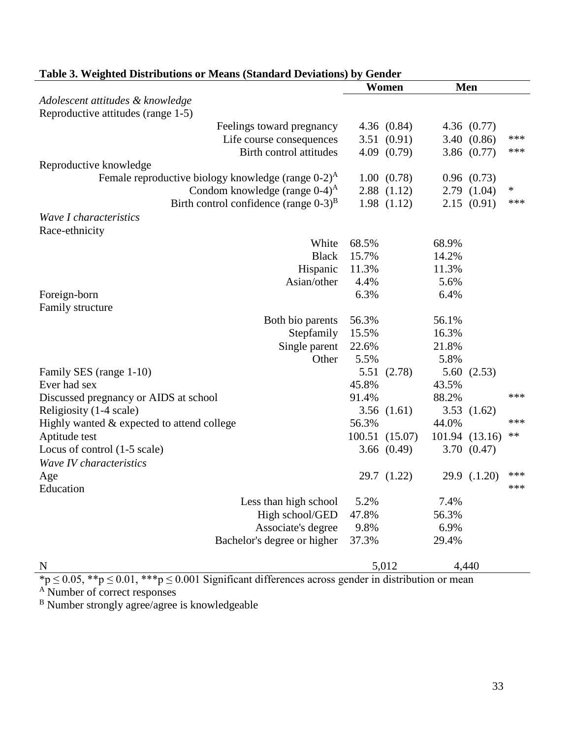|                                                                   |       | Women          |       | Men            |     |
|-------------------------------------------------------------------|-------|----------------|-------|----------------|-----|
| Adolescent attitudes & knowledge                                  |       |                |       |                |     |
| Reproductive attitudes (range 1-5)                                |       |                |       |                |     |
| Feelings toward pregnancy                                         |       | 4.36 $(0.84)$  |       | 4.36 $(0.77)$  |     |
| Life course consequences                                          |       | 3.51(0.91)     |       | 3.40(0.86)     | *** |
| Birth control attitudes                                           |       | 4.09(0.79)     |       | 3.86 $(0.77)$  | *** |
| Reproductive knowledge                                            |       |                |       |                |     |
| Female reproductive biology knowledge (range $0-2$ ) <sup>A</sup> |       | 1.00(0.78)     |       | 0.96(0.73)     |     |
| Condom knowledge (range $0-4$ ) <sup>A</sup>                      |       | 2.88(1.12)     |       | 2.79(1.04)     | ∗   |
| Birth control confidence (range $0-3$ ) <sup>B</sup>              |       | 1.98(1.12)     |       | 2.15(0.91)     | *** |
| Wave I characteristics                                            |       |                |       |                |     |
| Race-ethnicity                                                    |       |                |       |                |     |
| White                                                             | 68.5% |                | 68.9% |                |     |
| <b>Black</b>                                                      | 15.7% |                | 14.2% |                |     |
| Hispanic                                                          | 11.3% |                | 11.3% |                |     |
| Asian/other                                                       | 4.4%  |                | 5.6%  |                |     |
| Foreign-born                                                      | 6.3%  |                | 6.4%  |                |     |
| Family structure                                                  |       |                |       |                |     |
| Both bio parents                                                  | 56.3% |                | 56.1% |                |     |
| Stepfamily                                                        | 15.5% |                | 16.3% |                |     |
| Single parent                                                     | 22.6% |                | 21.8% |                |     |
| Other                                                             | 5.5%  |                | 5.8%  |                |     |
| Family SES (range 1-10)                                           | 5.51  | (2.78)         |       | 5.60(2.53)     |     |
| Ever had sex                                                      | 45.8% |                | 43.5% |                |     |
| Discussed pregnancy or AIDS at school                             | 91.4% |                | 88.2% |                | *** |
| Religiosity (1-4 scale)                                           |       | 3.56(1.61)     |       | 3.53 $(1.62)$  |     |
| Highly wanted & expected to attend college                        | 56.3% |                | 44.0% |                | *** |
| Aptitude test                                                     |       | 100.51 (15.07) |       | 101.94 (13.16) | **  |
| Locus of control (1-5 scale)                                      |       | 3.66(0.49)     |       | 3.70(0.47)     |     |
| Wave IV characteristics                                           |       |                |       |                |     |
| Age                                                               |       | 29.7 (1.22)    |       | 29.9 (.1.20)   | *** |
| Education                                                         |       |                |       |                | *** |
| Less than high school                                             | 5.2%  |                | 7.4%  |                |     |
| High school/GED                                                   | 47.8% |                | 56.3% |                |     |
| Associate's degree                                                | 9.8%  |                | 6.9%  |                |     |
| Bachelor's degree or higher                                       | 37.3% |                | 29.4% |                |     |
| N                                                                 |       | 5,012          |       | 4,440          |     |

# **Table 3. Weighted Distributions or Means (Standard Deviations) by Gender**

 $np \le 0.05$ ,  $*$  $p \le 0.01$ ,  $**$  $p \le 0.001$  Significant differences across gender in distribution or mean

<sup>A</sup> Number of correct responses

<sup>B</sup> Number strongly agree/agree is knowledgeable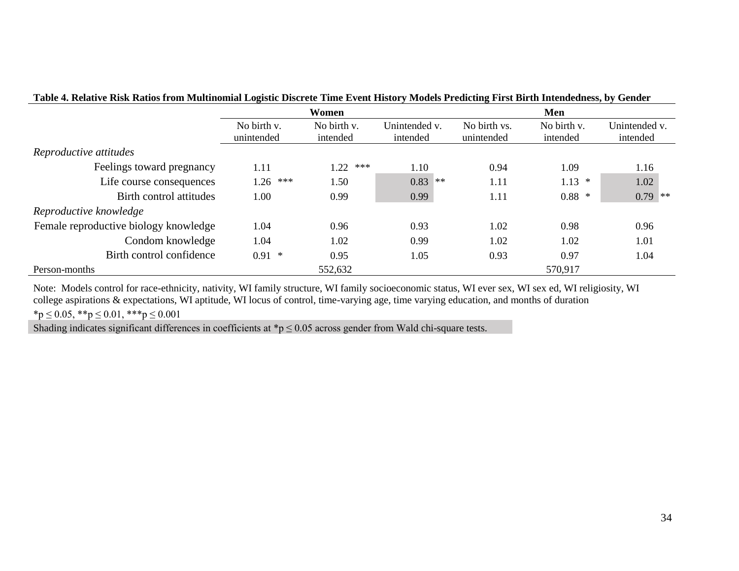| таяк эт компус коя каноз пош выпитания водяло вястою типо в опитывать в головых гим вногранном, в у осност |                           |                         |                           |                            |                         |                           |  |  |  |  |
|------------------------------------------------------------------------------------------------------------|---------------------------|-------------------------|---------------------------|----------------------------|-------------------------|---------------------------|--|--|--|--|
|                                                                                                            |                           | Women                   |                           | Men                        |                         |                           |  |  |  |  |
|                                                                                                            | No birth v.<br>unintended | No birth v.<br>intended | Unintended v.<br>intended | No birth vs.<br>unintended | No birth v.<br>intended | Unintended v.<br>intended |  |  |  |  |
| Reproductive attitudes                                                                                     |                           |                         |                           |                            |                         |                           |  |  |  |  |
| Feelings toward pregnancy                                                                                  | 1.11                      | 1.22<br>***             | 1.10                      | 0.94                       | 1.09                    | 1.16                      |  |  |  |  |
| Life course consequences                                                                                   | ***<br>1.26               | 1.50                    | 0.83<br>**                | 1.11                       | 1.13<br>$\ast$          | 1.02                      |  |  |  |  |
| Birth control attitudes                                                                                    | 1.00                      | 0.99                    | 0.99                      | 1.11                       | $0.88$ *                | $0.79$ **                 |  |  |  |  |
| Reproductive knowledge                                                                                     |                           |                         |                           |                            |                         |                           |  |  |  |  |
| Female reproductive biology knowledge                                                                      | 1.04                      | 0.96                    | 0.93                      | 1.02                       | 0.98                    | 0.96                      |  |  |  |  |
| Condom knowledge                                                                                           | 1.04                      | 1.02                    | 0.99                      | 1.02                       | 1.02                    | 1.01                      |  |  |  |  |
| Birth control confidence                                                                                   | $0.91$ *                  | 0.95                    | 1.05                      | 0.93                       | 0.97                    | 1.04                      |  |  |  |  |
| Person-months                                                                                              |                           | 552,632                 |                           |                            | 570,917                 |                           |  |  |  |  |

## **Table 4. Relative Risk Ratios from Multinomial Logistic Discrete Time Event History Models Predicting First Birth Intendedness, by Gender**

Note: Models control for race-ethnicity, nativity, WI family structure, WI family socioeconomic status, WI ever sex, WI sex ed, WI religiosity, WI college aspirations & expectations, WI aptitude, WI locus of control, time-varying age, time varying education, and months of duration

 $*_{p} \leq 0.05$ ,  $*_{p} \leq 0.01$ ,  $*_{p} \leq 0.001$ 

Shading indicates significant differences in coefficients at  $\mathbf{p} \leq 0.05$  across gender from Wald chi-square tests.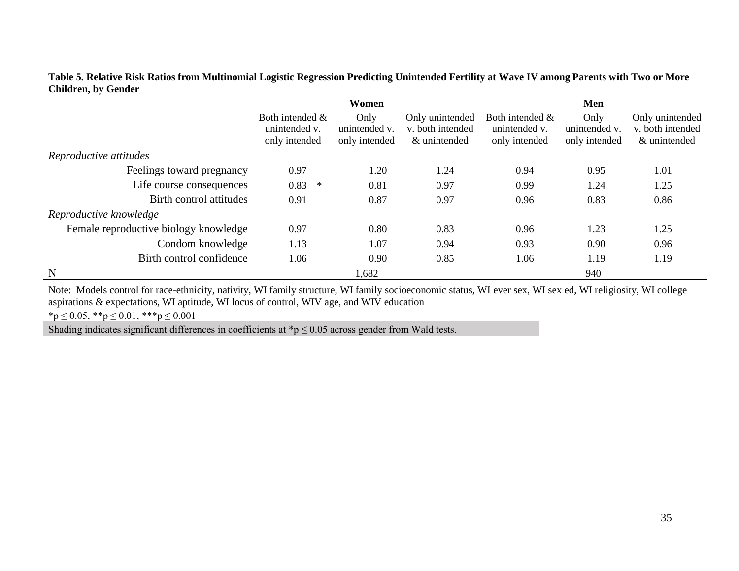| Table 5. Relative Risk Ratios from Multinomial Logistic Regression Predicting Unintended Fertility at Wave IV among Parents with Two or More |  |
|----------------------------------------------------------------------------------------------------------------------------------------------|--|
| <b>Children, by Gender</b>                                                                                                                   |  |

|                                       |                    | Women         |                  | Men             |               |                  |  |  |
|---------------------------------------|--------------------|---------------|------------------|-----------------|---------------|------------------|--|--|
|                                       | Both intended $\&$ | Only          | Only unintended  | Both intended & | Only          | Only unintended  |  |  |
|                                       | unintended v.      | unintended v. | v. both intended | unintended v.   | unintended v. | v. both intended |  |  |
|                                       | only intended      | only intended | & unintended     | only intended   | only intended | & unintended     |  |  |
| Reproductive attitudes                |                    |               |                  |                 |               |                  |  |  |
| Feelings toward pregnancy             | 0.97               | 1.20          | 1.24             | 0.94            | 0.95          | 1.01             |  |  |
| Life course consequences              | 0.83<br>$\ast$     | 0.81          | 0.97             | 0.99            | 1.24          | 1.25             |  |  |
| Birth control attitudes               | 0.91               | 0.87          | 0.97             | 0.96            | 0.83          | 0.86             |  |  |
| Reproductive knowledge                |                    |               |                  |                 |               |                  |  |  |
| Female reproductive biology knowledge | 0.97               | 0.80          | 0.83             | 0.96            | 1.23          | 1.25             |  |  |
| Condom knowledge                      | 1.13               | 1.07          | 0.94             | 0.93            | 0.90          | 0.96             |  |  |
| Birth control confidence              | 1.06               | 0.90          | 0.85             | 1.06            | 1.19          | 1.19             |  |  |
| $\mathbf N$                           |                    | 1,682         |                  |                 | 940           |                  |  |  |

Note: Models control for race-ethnicity, nativity, WI family structure, WI family socioeconomic status, WI ever sex, WI sex ed, WI religiosity, WI college aspirations & expectations, WI aptitude, WI locus of control, WIV age, and WIV education

 $*_{p} \leq 0.05$ ,  $*_{p} \leq 0.01$ ,  $*_{p} \leq 0.001$ 

Shading indicates significant differences in coefficients at  $\mathbf{\hat{p}} \leq 0.05$  across gender from Wald tests.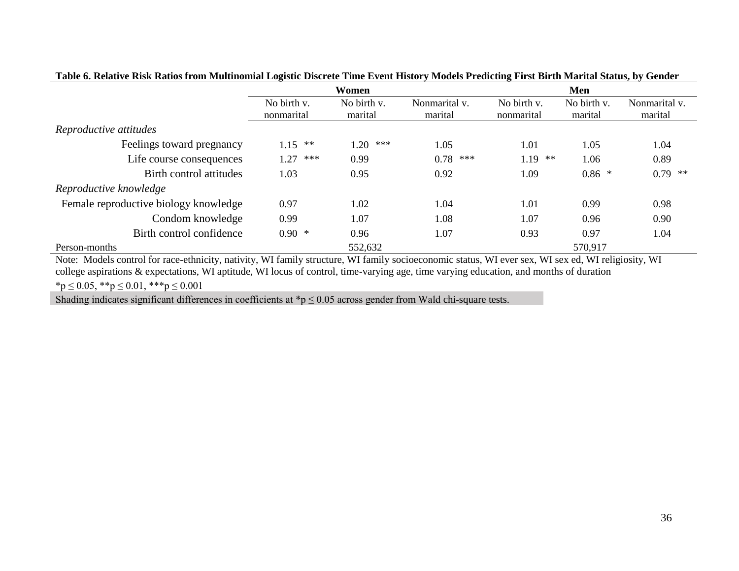|                                       |                           | Women                  |                          | Men                       |                        |                          |  |
|---------------------------------------|---------------------------|------------------------|--------------------------|---------------------------|------------------------|--------------------------|--|
|                                       | No birth v.<br>nonmarital | No birth v.<br>marital | Nonmarital v.<br>marital | No birth v.<br>nonmarital | No birth v.<br>marital | Nonmarital v.<br>marital |  |
| Reproductive attitudes                |                           |                        |                          |                           |                        |                          |  |
| Feelings toward pregnancy             | **<br>1.15                | 1.20<br>***            | 1.05                     | 1.01                      | 1.05                   | 1.04                     |  |
| Life course consequences              | .27<br>***                | 0.99                   | $0.78$ ***               | $1.19$ **                 | 1.06                   | 0.89                     |  |
| Birth control attitudes               | 1.03                      | 0.95                   | 0.92                     | 1.09                      | $0.86*$                | $0.79$ **                |  |
| Reproductive knowledge                |                           |                        |                          |                           |                        |                          |  |
| Female reproductive biology knowledge | 0.97                      | 1.02                   | 1.04                     | 1.01                      | 0.99                   | 0.98                     |  |
| Condom knowledge                      | 0.99                      | 1.07                   | 1.08                     | 1.07                      | 0.96                   | 0.90                     |  |
| Birth control confidence              | $0.90*$                   | 0.96                   | 1.07                     | 0.93                      | 0.97                   | 1.04                     |  |
| Person-months                         |                           | 552,632                |                          |                           | 570,917                |                          |  |

## **Table 6. Relative Risk Ratios from Multinomial Logistic Discrete Time Event History Models Predicting First Birth Marital Status, by Gender**

Note: Models control for race-ethnicity, nativity, WI family structure, WI family socioeconomic status, WI ever sex, WI sex ed, WI religiosity, WI college aspirations & expectations, WI aptitude, WI locus of control, time-varying age, time varying education, and months of duration

 $*_{p} \leq 0.05$ ,  $*_{p} \leq 0.01$ ,  $*_{p} \leq 0.001$ 

Shading indicates significant differences in coefficients at  $\gamma \leq 0.05$  across gender from Wald chi-square tests.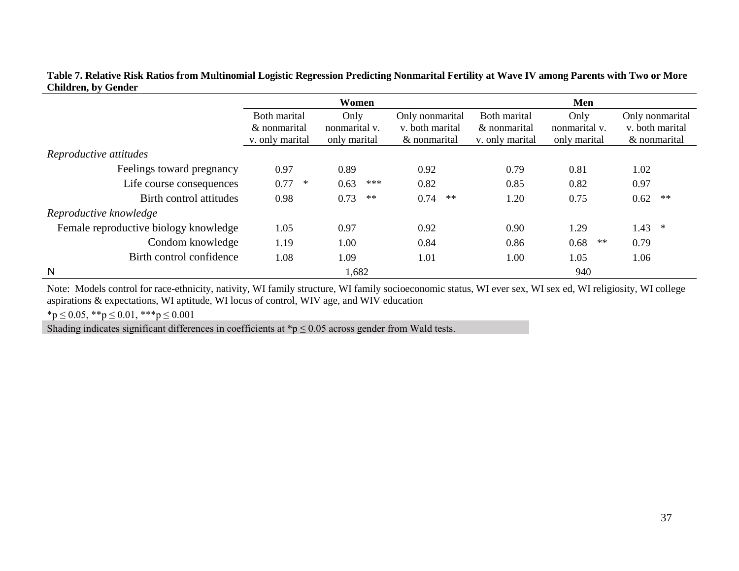|                                       |                                                 | Women                                                                                       |              | Men                                             |                                       |                                                    |  |
|---------------------------------------|-------------------------------------------------|---------------------------------------------------------------------------------------------|--------------|-------------------------------------------------|---------------------------------------|----------------------------------------------------|--|
|                                       | Both marital<br>& nonmarital<br>v. only marital | Only<br>Only nonmarital<br>v. both marital<br>nonmarital v.<br>only marital<br>& nonmarital |              | Both marital<br>& nonmarital<br>v. only marital | Only<br>nonmarital v.<br>only marital | Only nonmarital<br>v. both marital<br>& nonmarital |  |
| Reproductive attitudes                |                                                 |                                                                                             |              |                                                 |                                       |                                                    |  |
| Feelings toward pregnancy             | 0.97                                            | 0.89                                                                                        | 0.92         | 0.79                                            | 0.81                                  | 1.02                                               |  |
| Life course consequences              | 0.77<br>$\ast$                                  | 0.63<br>***                                                                                 | 0.82         | 0.85                                            | 0.82                                  | 0.97                                               |  |
| Birth control attitudes               | 0.98                                            | 0.73<br>$\ast\ast$                                                                          | 0.74<br>$**$ | 1.20                                            | 0.75                                  | $\ast\ast$<br>0.62                                 |  |
| Reproductive knowledge                |                                                 |                                                                                             |              |                                                 |                                       |                                                    |  |
| Female reproductive biology knowledge | 1.05                                            | 0.97                                                                                        | 0.92         | 0.90                                            | 1.29                                  | 1.43<br>∗                                          |  |
| Condom knowledge                      | 1.19                                            | 1.00                                                                                        | 0.84         | 0.86                                            | 0.68<br>$**$                          | 0.79                                               |  |
| Birth control confidence              | 1.08                                            | 1.09                                                                                        | 1.01         | 1.00                                            | 1.05                                  | 1.06                                               |  |
| $\mathbf N$                           |                                                 | 1,682                                                                                       |              |                                                 | 940                                   |                                                    |  |

**Table 7. Relative Risk Ratios from Multinomial Logistic Regression Predicting Nonmarital Fertility at Wave IV among Parents with Two or More Children, by Gender**

Note: Models control for race-ethnicity, nativity, WI family structure, WI family socioeconomic status, WI ever sex, WI sex ed, WI religiosity, WI college aspirations & expectations, WI aptitude, WI locus of control, WIV age, and WIV education

 $*_{p} \leq 0.05$ ,  $*_{p} \leq 0.01$ ,  $*_{p} \leq 0.001$ 

Shading indicates significant differences in coefficients at  $\sp{\ast}p \leq 0.05$  across gender from Wald tests.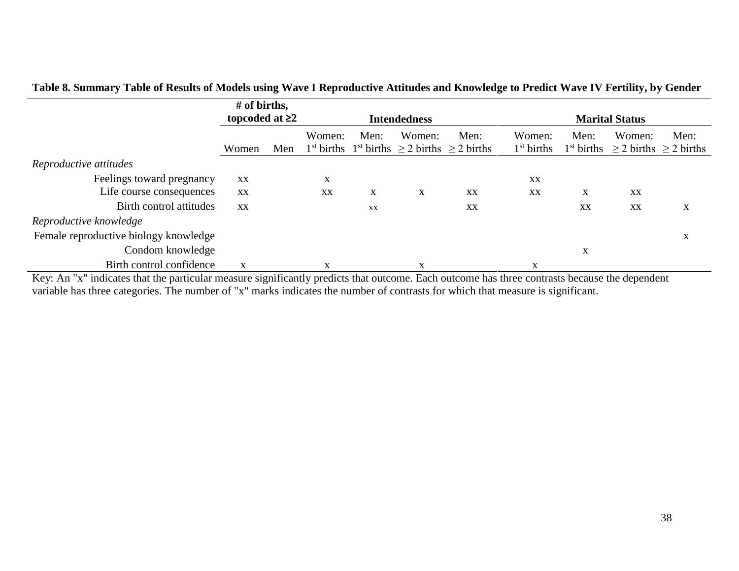|                                       | # of births,         |     |                     |      |        |                                                                                       |                        |             |                                                        |      |
|---------------------------------------|----------------------|-----|---------------------|------|--------|---------------------------------------------------------------------------------------|------------------------|-------------|--------------------------------------------------------|------|
|                                       | topcoded at $\geq 2$ |     | <b>Intendedness</b> |      |        |                                                                                       | <b>Marital Status</b>  |             |                                                        |      |
|                                       | Women                | Men | Women:              | Men: | Women: | Men:<br>1 <sup>st</sup> births 1 <sup>st</sup> births $\geq$ 2 births $\geq$ 2 births | Women:<br>$1st$ births | Men:        | Women:<br>$1st$ births $\geq 2$ births $\geq 2$ births | Men: |
| Reproductive attitudes                |                      |     |                     |      |        |                                                                                       |                        |             |                                                        |      |
| Feelings toward pregnancy             | XX                   |     | X                   |      |        |                                                                                       | XX                     |             |                                                        |      |
| Life course consequences              | XX                   |     | XX                  | X    | X      | XX                                                                                    | XX                     | X           | XX                                                     |      |
| Birth control attitudes               | XX                   |     |                     | XX   |        | XX                                                                                    |                        | XX          | XX                                                     | X    |
| Reproductive knowledge                |                      |     |                     |      |        |                                                                                       |                        |             |                                                        |      |
| Female reproductive biology knowledge |                      |     |                     |      |        |                                                                                       |                        |             |                                                        | X    |
| Condom knowledge                      |                      |     |                     |      |        |                                                                                       |                        | $\mathbf X$ |                                                        |      |
| Birth control confidence              | X                    |     | X                   |      | X      |                                                                                       | X                      |             |                                                        |      |

# **Table 8. Summary Table of Results of Models using Wave I Reproductive Attitudes and Knowledge to Predict Wave IV Fertility, by Gender**

Key: An "x" indicates that the particular measure significantly predicts that outcome. Each outcome has three contrasts because the dependent variable has three categories. The number of "x" marks indicates the number of contrasts for which that measure is significant.